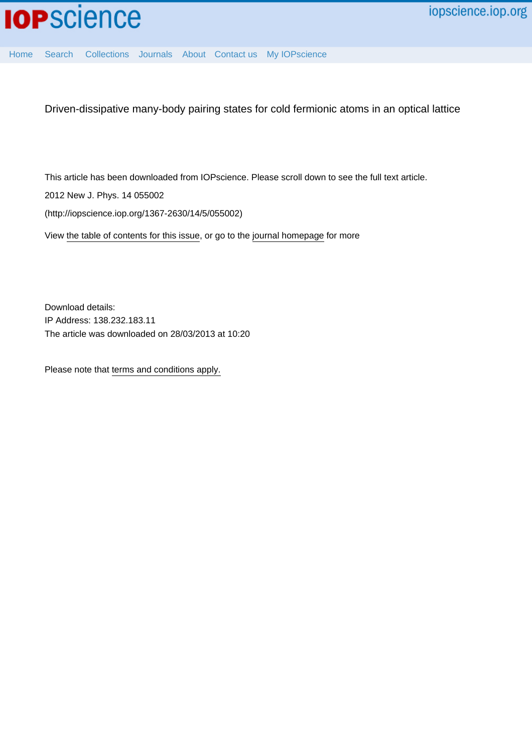

[Home](http://iopscience.iop.org/) [Search](http://iopscience.iop.org/search) [Collections](http://iopscience.iop.org/collections) [Journals](http://iopscience.iop.org/journals) [About](http://iopscience.iop.org/page/aboutioppublishing) [Contact us](http://iopscience.iop.org/contact) [My IOPscience](http://iopscience.iop.org/myiopscience)

Driven-dissipative many-body pairing states for cold fermionic atoms in an optical lattice

This article has been downloaded from IOPscience. Please scroll down to see the full text article.

2012 New J. Phys. 14 055002

(http://iopscience.iop.org/1367-2630/14/5/055002)

View [the table of contents for this issue](http://iopscience.iop.org/1367-2630/14/5), or go to the [journal homepage](http://iopscience.iop.org/1367-2630) for more

Download details: IP Address: 138.232.183.11 The article was downloaded on 28/03/2013 at 10:20

Please note that [terms and conditions apply.](http://iopscience.iop.org/page/terms)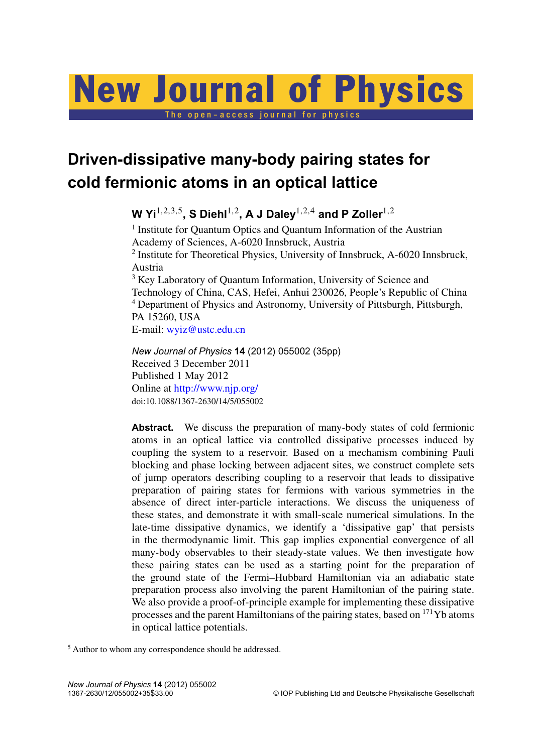# New Journal of Physics

The open-access journal for physics

## **Driven-dissipative many-body pairing states for cold fermionic atoms in an optical lattice**

### **W Yi**1,2,3,<sup>5</sup> **, S Diehl**1,<sup>2</sup> **, A J Daley**1,2,<sup>4</sup> **and P Zoller**1,<sup>2</sup>

<sup>1</sup> Institute for Quantum Optics and Quantum Information of the Austrian Academy of Sciences, A-6020 Innsbruck, Austria <sup>2</sup> Institute for Theoretical Physics, University of Innsbruck, A-6020 Innsbruck, Austria <sup>3</sup> Key Laboratory of Ouantum Information, University of Science and Technology of China, CAS, Hefei, Anhui 230026, People's Republic of China <sup>4</sup> Department of Physics and Astronomy, University of Pittsburgh, Pittsburgh,

PA 15260, USA E-mail: [wyiz@ustc.edu.cn](mailto:wyiz@ustc.edu.cn)

*New Journal of Physics* **14** (2012) 055002 (35pp) Received 3 December 2011 Published 1 May 2012 Online at <http://www.njp.org/> doi:10.1088/1367-2630/14/5/055002

Abstract. We discuss the preparation of many-body states of cold fermionic atoms in an optical lattice via controlled dissipative processes induced by coupling the system to a reservoir. Based on a mechanism combining Pauli blocking and phase locking between adjacent sites, we construct complete sets of jump operators describing coupling to a reservoir that leads to dissipative preparation of pairing states for fermions with various symmetries in the absence of direct inter-particle interactions. We discuss the uniqueness of these states, and demonstrate it with small-scale numerical simulations. In the late-time dissipative dynamics, we identify a 'dissipative gap' that persists in the thermodynamic limit. This gap implies exponential convergence of all many-body observables to their steady-state values. We then investigate how these pairing states can be used as a starting point for the preparation of the ground state of the Fermi–Hubbard Hamiltonian via an adiabatic state preparation process also involving the parent Hamiltonian of the pairing state. We also provide a proof-of-principle example for implementing these dissipative processes and the parent Hamiltonians of the pairing states, based on <sup>171</sup>Yb atoms in optical lattice potentials.

<sup>5</sup> Author to whom any correspondence should be addressed.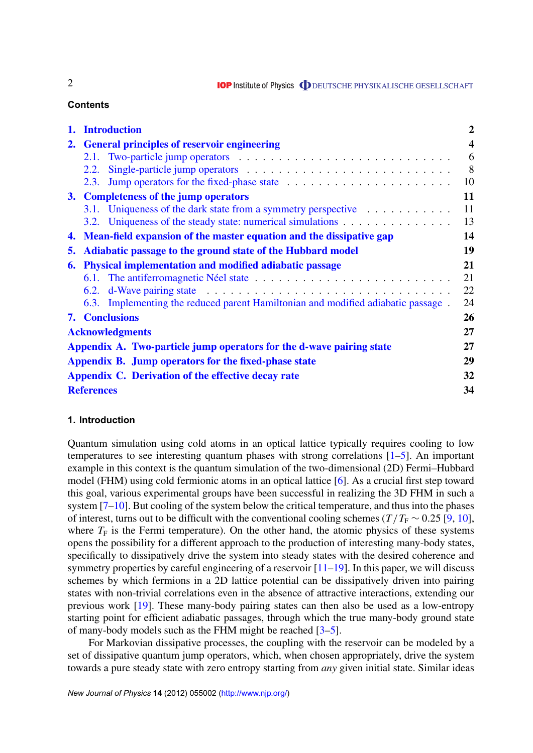#### **Contents**

| 1.                | <b>Introduction</b>                                                              | $\overline{2}$          |
|-------------------|----------------------------------------------------------------------------------|-------------------------|
|                   | 2. General principles of reservoir engineering                                   | $\overline{\mathbf{4}}$ |
|                   |                                                                                  | 6                       |
|                   | 2.2.                                                                             | 8                       |
|                   | 2.3.                                                                             | 10                      |
|                   | 3. Completeness of the jump operators                                            | 11                      |
|                   | 3.1. Uniqueness of the dark state from a symmetry perspective                    | 11                      |
|                   | 3.2. Uniqueness of the steady state: numerical simulations                       | 13                      |
| 4.                | Mean-field expansion of the master equation and the dissipative gap              | 14                      |
| 5.                | Adiabatic passage to the ground state of the Hubbard model                       | 19                      |
| 6.                | <b>Physical implementation and modified adiabatic passage</b>                    | 21                      |
|                   |                                                                                  | 21                      |
|                   |                                                                                  | 22                      |
|                   | 6.3. Implementing the reduced parent Hamiltonian and modified adiabatic passage. | 24                      |
|                   | 7. Conclusions                                                                   | 26                      |
|                   | <b>Acknowledgments</b>                                                           | 27                      |
|                   | Appendix A. Two-particle jump operators for the d-wave pairing state             | 27                      |
|                   | Appendix B. Jump operators for the fixed-phase state                             | 29                      |
|                   | Appendix C. Derivation of the effective decay rate                               | 32                      |
| <b>References</b> |                                                                                  | 34                      |

#### **1. Introduction**

Quantum simulation using cold atoms in an optical lattice typically requires cooling to low temperatures to see interesting quantum phases with strong correlations  $[1-5]$ . An important example in this context is the quantum simulation of the two-dimensional (2D) Fermi–Hubbard model (FHM) using cold fermionic atoms in an optical lattice [\[6\]](#page-34-0). As a crucial first step toward this goal, various experimental groups have been successful in realizing the 3D FHM in such a system [\[7–10\]](#page-34-0). But cooling of the system below the critical temperature, and thus into the phases of interest, turns out to be difficult with the conventional cooling schemes ( $T/T_F \sim 0.25$  [\[9,](#page-34-0) [10\]](#page-34-0), where  $T_F$  is the Fermi temperature). On the other hand, the atomic physics of these systems opens the possibility for a different approach to the production of interesting many-body states, specifically to dissipatively drive the system into steady states with the desired coherence and symmetry properties by careful engineering of a reservoir  $[11-19]$ . In this paper, we will discuss schemes by which fermions in a 2D lattice potential can be dissipatively driven into pairing states with non-trivial correlations even in the absence of attractive interactions, extending our previous work [\[19\]](#page-34-0). These many-body pairing states can then also be used as a low-entropy starting point for efficient adiabatic passages, through which the true many-body ground state of many-body models such as the FHM might be reached [\[3–5\]](#page-34-0).

For Markovian dissipative processes, the coupling with the reservoir can be modeled by a set of dissipative quantum jump operators, which, when chosen appropriately, drive the system towards a pure steady state with zero entropy starting from *any* given initial state. Similar ideas

2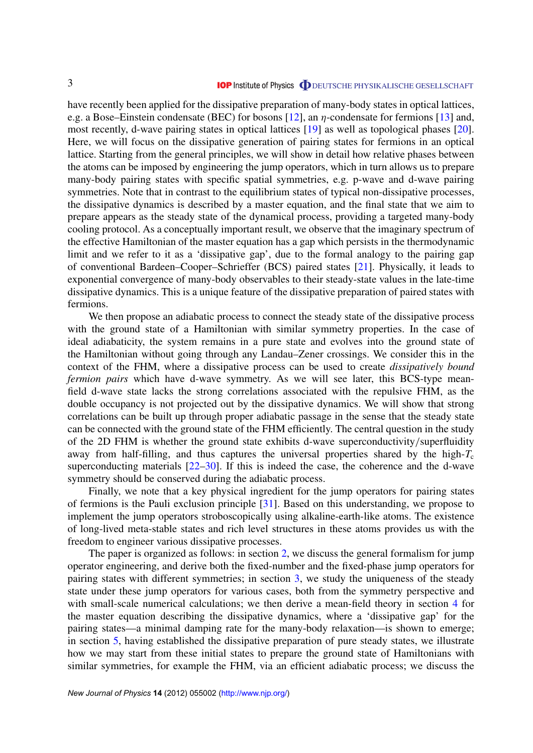have recently been applied for the dissipative preparation of many-body states in optical lattices, e.g. a Bose–Einstein condensate (BEC) for bosons  $[12]$ , an  $\eta$ -condensate for fermions  $[13]$  and, most recently, d-wave pairing states in optical lattices [\[19\]](#page-34-0) as well as topological phases [\[20\]](#page-34-0). Here, we will focus on the dissipative generation of pairing states for fermions in an optical lattice. Starting from the general principles, we will show in detail how relative phases between the atoms can be imposed by engineering the jump operators, which in turn allows us to prepare many-body pairing states with specific spatial symmetries, e.g. p-wave and d-wave pairing symmetries. Note that in contrast to the equilibrium states of typical non-dissipative processes, the dissipative dynamics is described by a master equation, and the final state that we aim to prepare appears as the steady state of the dynamical process, providing a targeted many-body cooling protocol. As a conceptually important result, we observe that the imaginary spectrum of the effective Hamiltonian of the master equation has a gap which persists in the thermodynamic limit and we refer to it as a 'dissipative gap', due to the formal analogy to the pairing gap of conventional Bardeen–Cooper–Schrieffer (BCS) paired states [\[21\]](#page-34-0). Physically, it leads to exponential convergence of many-body observables to their steady-state values in the late-time dissipative dynamics. This is a unique feature of the dissipative preparation of paired states with fermions.

We then propose an adiabatic process to connect the steady state of the dissipative process with the ground state of a Hamiltonian with similar symmetry properties. In the case of ideal adiabaticity, the system remains in a pure state and evolves into the ground state of the Hamiltonian without going through any Landau–Zener crossings. We consider this in the context of the FHM, where a dissipative process can be used to create *dissipatively bound fermion pairs* which have d-wave symmetry. As we will see later, this BCS-type meanfield d-wave state lacks the strong correlations associated with the repulsive FHM, as the double occupancy is not projected out by the dissipative dynamics. We will show that strong correlations can be built up through proper adiabatic passage in the sense that the steady state can be connected with the ground state of the FHM efficiently. The central question in the study of the 2D FHM is whether the ground state exhibits d-wave superconductivity/superfluidity away from half-filling, and thus captures the universal properties shared by the high- $T_c$ superconducting materials [\[22–30\]](#page-34-0). If this is indeed the case, the coherence and the d-wave symmetry should be conserved during the adiabatic process.

Finally, we note that a key physical ingredient for the jump operators for pairing states of fermions is the Pauli exclusion principle [\[31\]](#page-34-0). Based on this understanding, we propose to implement the jump operators stroboscopically using alkaline-earth-like atoms. The existence of long-lived meta-stable states and rich level structures in these atoms provides us with the freedom to engineer various dissipative processes.

The paper is organized as follows: in section [2,](#page-4-0) we discuss the general formalism for jump operator engineering, and derive both the fixed-number and the fixed-phase jump operators for pairing states with different symmetries; in section [3,](#page-11-0) we study the uniqueness of the steady state under these jump operators for various cases, both from the symmetry perspective and with small-scale numerical calculations; we then derive a mean-field theory in section [4](#page-14-0) for the master equation describing the dissipative dynamics, where a 'dissipative gap' for the pairing states—a minimal damping rate for the many-body relaxation—is shown to emerge; in section [5,](#page-19-0) having established the dissipative preparation of pure steady states, we illustrate how we may start from these initial states to prepare the ground state of Hamiltonians with similar symmetries, for example the FHM, via an efficient adiabatic process; we discuss the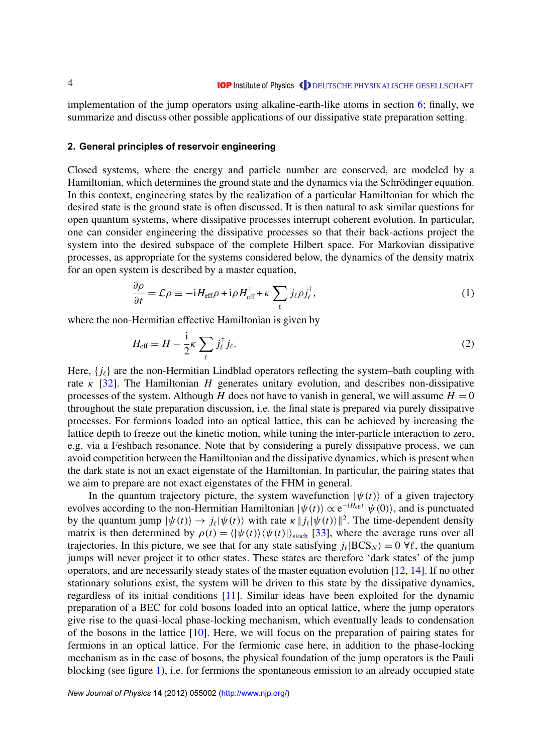<span id="page-4-0"></span>implementation of the jump operators using alkaline-earth-like atoms in section [6;](#page-21-0) finally, we summarize and discuss other possible applications of our dissipative state preparation setting.

#### **2. General principles of reservoir engineering**

Closed systems, where the energy and particle number are conserved, are modeled by a Hamiltonian, which determines the ground state and the dynamics via the Schrödinger equation. In this context, engineering states by the realization of a particular Hamiltonian for which the desired state is the ground state is often discussed. It is then natural to ask similar questions for open quantum systems, where dissipative processes interrupt coherent evolution. In particular, one can consider engineering the dissipative processes so that their back-actions project the system into the desired subspace of the complete Hilbert space. For Markovian dissipative processes, as appropriate for the systems considered below, the dynamics of the density matrix for an open system is described by a master equation,

$$
\frac{\partial \rho}{\partial t} = \mathcal{L}\rho \equiv -iH_{\text{eff}}\rho + i\rho H_{\text{eff}}^{\dagger} + \kappa \sum_{\ell} j_{\ell}\rho j_{\ell}^{\dagger}, \qquad (1)
$$

where the non-Hermitian effective Hamiltonian is given by

$$
H_{\text{eff}} = H - \frac{1}{2} \kappa \sum_{\ell} j_{\ell}^{\dagger} j_{\ell}.
$$
 (2)

Here,  $\{j_\ell\}$  are the non-Hermitian Lindblad operators reflecting the system–bath coupling with rate  $\kappa$  [\[32\]](#page-35-0). The Hamiltonian *H* generates unitary evolution, and describes non-dissipative processes of the system. Although *H* does not have to vanish in general, we will assume  $H = 0$ throughout the state preparation discussion, i.e. the final state is prepared via purely dissipative processes. For fermions loaded into an optical lattice, this can be achieved by increasing the lattice depth to freeze out the kinetic motion, while tuning the inter-particle interaction to zero, e.g. via a Feshbach resonance. Note that by considering a purely dissipative process, we can avoid competition between the Hamiltonian and the dissipative dynamics, which is present when the dark state is not an exact eigenstate of the Hamiltonian. In particular, the pairing states that we aim to prepare are not exact eigenstates of the FHM in general.

In the quantum trajectory picture, the system wavefunction  $|\psi(t)\rangle$  of a given trajectory evolves according to the non-Hermitian Hamiltonian  $|\psi(t)\rangle \propto e^{-iH_{\text{eff}}t}|\psi(0)\rangle$ , and is punctuated by the quantum jump  $|\psi(t)\rangle \rightarrow j_{\ell}|\psi(t)\rangle$  with rate  $\kappa ||j_{\ell}|\psi(t)\rangle||^2$ . The time-dependent density matrix is then determined by  $\rho(t) = \langle |\psi(t)\rangle \langle \psi(t)| \rangle_{\text{stoch}}$  [\[33\]](#page-35-0), where the average runs over all trajectories. In this picture, we see that for any state satisfying  $j_{\ell}$ |BCS<sub>*N*</sub></sub>  $= 0 \forall \ell$ , the quantum jumps will never project it to other states. These states are therefore 'dark states' of the jump operators, and are necessarily steady states of the master equation evolution [\[12,](#page-34-0) [14\]](#page-34-0). If no other stationary solutions exist, the system will be driven to this state by the dissipative dynamics, regardless of its initial conditions [\[11\]](#page-34-0). Similar ideas have been exploited for the dynamic preparation of a BEC for cold bosons loaded into an optical lattice, where the jump operators give rise to the quasi-local phase-locking mechanism, which eventually leads to condensation of the bosons in the lattice [\[10\]](#page-34-0). Here, we will focus on the preparation of pairing states for fermions in an optical lattice. For the fermionic case here, in addition to the phase-locking mechanism as in the case of bosons, the physical foundation of the jump operators is the Pauli blocking (see figure [1\)](#page-5-0), i.e. for fermions the spontaneous emission to an already occupied state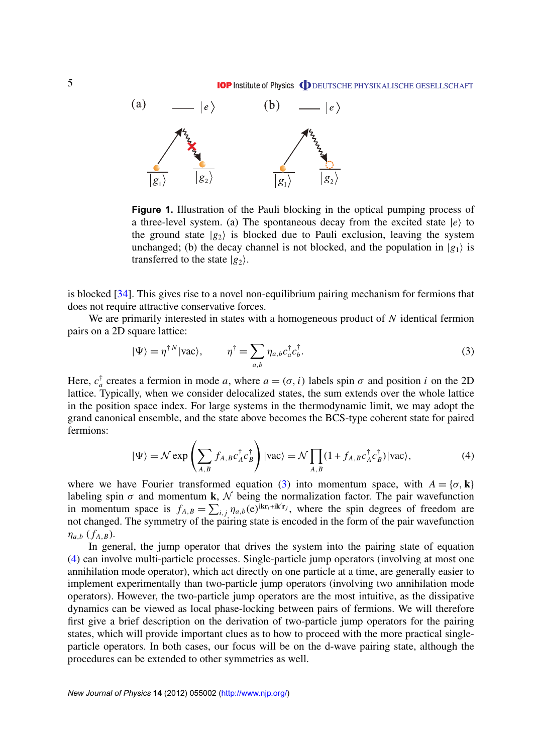<span id="page-5-0"></span>

**Figure 1.** Illustration of the Pauli blocking in the optical pumping process of a three-level system. (a) The spontaneous decay from the excited state  $|e\rangle$  to the ground state  $|g_2\rangle$  is blocked due to Pauli exclusion, leaving the system unchanged; (b) the decay channel is not blocked, and the population in  $|g_1\rangle$  is transferred to the state  $|g_2\rangle$ .

is blocked [\[34\]](#page-35-0). This gives rise to a novel non-equilibrium pairing mechanism for fermions that does not require attractive conservative forces.

We are primarily interested in states with a homogeneous product of *N* identical fermion pairs on a 2D square lattice:

$$
|\Psi\rangle = \eta^{\dagger N} |\text{vac}\rangle, \qquad \eta^{\dagger} = \sum_{a,b} \eta_{a,b} c_a^{\dagger} c_b^{\dagger}.
$$
 (3)

Here,  $c_a^{\dagger}$  creates a fermion in mode *a*, where  $a = (\sigma, i)$  labels spin  $\sigma$  and position *i* on the 2D lattice. Typically, when we consider delocalized states, the sum extends over the whole lattice in the position space index. For large systems in the thermodynamic limit, we may adopt the grand canonical ensemble, and the state above becomes the BCS-type coherent state for paired fermions:

$$
|\Psi\rangle = \mathcal{N} \exp\left(\sum_{A,B} f_{A,B} c_A^{\dagger} c_B^{\dagger}\right) |\text{vac}\rangle = \mathcal{N} \prod_{A,B} (1 + f_{A,B} c_A^{\dagger} c_B^{\dagger}) |\text{vac}\rangle, \tag{4}
$$

where we have Fourier transformed equation (3) into momentum space, with  $A = \{\sigma, \mathbf{k}\}\$ labeling spin  $\sigma$  and momentum **k**,  $\mathcal{N}$  being the normalization factor. The pair wavefunction in momentum space is  $f_{A,B} = \sum_{i,j} \eta_{a,b}(e)^{i k r_i + i k' r_j}$ , where the spin degrees of freedom are not changed. The symmetry of the pairing state is encoded in the form of the pair wavefunction  $\eta_{a,b}$  ( $f_{A,B}$ ).

In general, the jump operator that drives the system into the pairing state of equation (4) can involve multi-particle processes. Single-particle jump operators (involving at most one annihilation mode operator), which act directly on one particle at a time, are generally easier to implement experimentally than two-particle jump operators (involving two annihilation mode operators). However, the two-particle jump operators are the most intuitive, as the dissipative dynamics can be viewed as local phase-locking between pairs of fermions. We will therefore first give a brief description on the derivation of two-particle jump operators for the pairing states, which will provide important clues as to how to proceed with the more practical singleparticle operators. In both cases, our focus will be on the d-wave pairing state, although the procedures can be extended to other symmetries as well.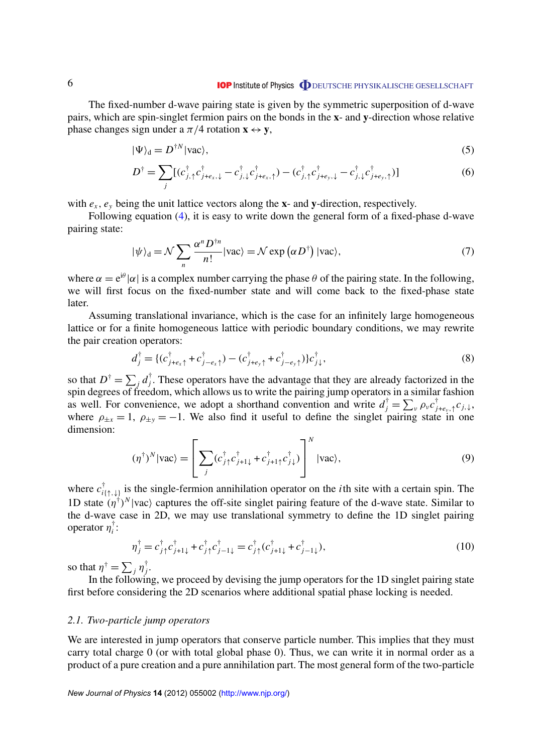<span id="page-6-0"></span>The fixed-number d-wave pairing state is given by the symmetric superposition of d-wave pairs, which are spin-singlet fermion pairs on the bonds in the **x**- and **y**-direction whose relative phase changes sign under a  $\pi/4$  rotation  $\mathbf{x} \leftrightarrow \mathbf{y}$ ,

$$
|\Psi\rangle_{\mathbf{d}} = D^{\dagger N} |\text{vac}\rangle,\tag{5}
$$

$$
D^{\dagger} = \sum_{j} [ (c^{\dagger}_{j,\uparrow} c^{\dagger}_{j+e_x,\downarrow} - c^{\dagger}_{j,\downarrow} c^{\dagger}_{j+e_x,\uparrow}) - (c^{\dagger}_{j,\uparrow} c^{\dagger}_{j+e_y,\downarrow} - c^{\dagger}_{j,\downarrow} c^{\dagger}_{j+e_y,\uparrow}) ] \tag{6}
$$

with  $e_x$ ,  $e_y$  being the unit lattice vectors along the **x**- and **y**-direction, respectively.

Following equation [\(4\)](#page-5-0), it is easy to write down the general form of a fixed-phase d-wave pairing state:

$$
|\psi\rangle_{d} = \mathcal{N} \sum_{n} \frac{\alpha^{n} D^{\dagger n}}{n!} |\text{vac}\rangle = \mathcal{N} \exp(\alpha D^{\dagger}) |\text{vac}\rangle, \tag{7}
$$

where  $\alpha = e^{i\theta} |\alpha|$  is a complex number carrying the phase  $\theta$  of the pairing state. In the following, we will first focus on the fixed-number state and will come back to the fixed-phase state later.

Assuming translational invariance, which is the case for an infinitely large homogeneous lattice or for a finite homogeneous lattice with periodic boundary conditions, we may rewrite the pair creation operators:

$$
d_j^{\dagger} = \{ (c_{j+e_x\uparrow}^{\dagger} + c_{j-e_x\uparrow}^{\dagger}) - (c_{j+e_y\uparrow}^{\dagger} + c_{j-e_y\uparrow}^{\dagger}) \} c_{j\downarrow}^{\dagger}, \tag{8}
$$

so that  $D^{\dagger} = \sum_j d_j^{\dagger}$ *j* . These operators have the advantage that they are already factorized in the spin degrees of freedom, which allows us to write the pairing jump operators in a similar fashion as well. For convenience, we adopt a shorthand convention and write  $d_j^{\dagger} = \sum_{\nu} \rho_{\nu} c_{j+\epsilon_{\nu},\uparrow}^{\dagger} c_{j,\downarrow}$ , where  $\rho_{\pm x} = 1$ ,  $\rho_{\pm y} = -1$ . We also find it useful to define the singlet pairing state in one dimension:

$$
(\eta^{\dagger})^N|\text{vac}\rangle = \left[\sum_j (c_{j\uparrow}^{\dagger} c_{j\uparrow 1\downarrow}^{\dagger} + c_{j\uparrow 1\uparrow}^{\dagger} c_{j\downarrow}^{\dagger})\right]^N|\text{vac}\rangle, \tag{9}
$$

where  $c^{\dagger}_{i\{\uparrow,\downarrow\}}$  is the single-fermion annihilation operator on the *i*th site with a certain spin. The 1D state  $(\eta^{\dagger})^N$  |vac) captures the off-site singlet pairing feature of the d-wave state. Similar to the d-wave case in 2D, we may use translational symmetry to define the 1D singlet pairing operator  $\eta_i^{\dagger}$ *i* :

$$
\eta_j^{\dagger} = c_{j\uparrow}^{\dagger} c_{j+1\downarrow}^{\dagger} + c_{j\uparrow}^{\dagger} c_{j-1\downarrow}^{\dagger} = c_{j\uparrow}^{\dagger} (c_{j+1\downarrow}^{\dagger} + c_{j-1\downarrow}^{\dagger}), \tag{10}
$$

so that  $\eta^{\dagger} = \sum_j \eta_j^{\dagger}$ *j* .

In the following, we proceed by devising the jump operators for the 1D singlet pairing state first before considering the 2D scenarios where additional spatial phase locking is needed.

#### *2.1. Two-particle jump operators*

We are interested in jump operators that conserve particle number. This implies that they must carry total charge 0 (or with total global phase 0). Thus, we can write it in normal order as a product of a pure creation and a pure annihilation part. The most general form of the two-particle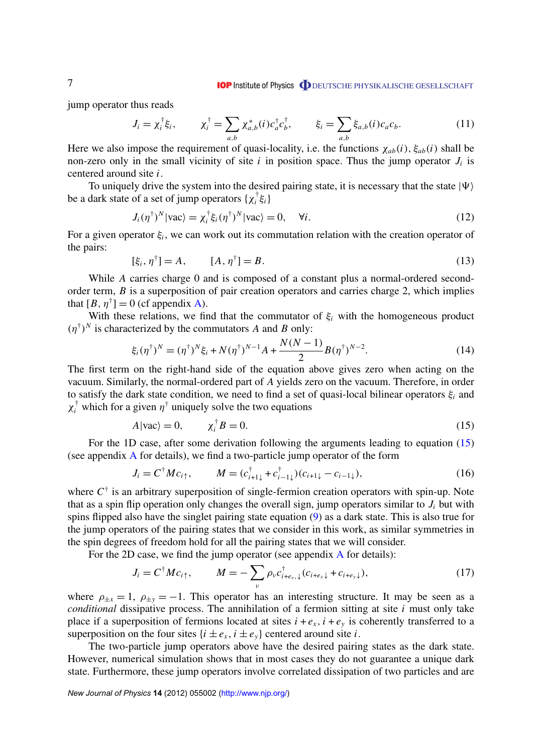<span id="page-7-0"></span>jump operator thus reads

$$
J_i = \chi_i^{\dagger} \xi_i, \qquad \chi_i^{\dagger} = \sum_{a,b} \chi_{a,b}^*(i) c_a^{\dagger} c_b^{\dagger}, \qquad \xi_i = \sum_{a,b} \xi_{a,b}(i) c_a c_b.
$$
 (11)

Here we also impose the requirement of quasi-locality, i.e. the functions  $\chi_{ab}(i)$ ,  $\xi_{ab}(i)$  shall be non-zero only in the small vicinity of site  $i$  in position space. Thus the jump operator  $J_i$  is centered around site *i*.

To uniquely drive the system into the desired pairing state, it is necessary that the state  $|\Psi\rangle$ be a dark state of a set of jump operators  $\{\chi_i^{\dagger}\}$ *i* ξ*i*}

$$
J_i(\eta^{\dagger})^N|\text{vac}\rangle = \chi_i^{\dagger} \xi_i(\eta^{\dagger})^N|\text{vac}\rangle = 0, \quad \forall i.
$$
 (12)

For a given operator ξ*<sup>i</sup>* , we can work out its commutation relation with the creation operator of the pairs:

$$
[\xi_i, \eta^{\dagger}] = A, \qquad [A, \eta^{\dagger}] = B. \tag{13}
$$

While *A* carries charge 0 and is composed of a constant plus a normal-ordered secondorder term, *B* is a superposition of pair creation operators and carries charge 2, which implies that  $[B, \eta^{\dagger}] = 0$  (cf appendix [A\)](#page-27-0).

With these relations, we find that the commutator of  $\xi$ <sub>*i*</sub> with the homogeneous product  $(\eta^{\dagger})^N$  is characterized by the commutators *A* and *B* only:

$$
\xi_i(\eta^{\dagger})^N = (\eta^{\dagger})^N \xi_i + N(\eta^{\dagger})^{N-1} A + \frac{N(N-1)}{2} B(\eta^{\dagger})^{N-2}.
$$
 (14)

The first term on the right-hand side of the equation above gives zero when acting on the vacuum. Similarly, the normal-ordered part of *A* yields zero on the vacuum. Therefore, in order to satisfy the dark state condition, we need to find a set of quasi-local bilinear operators ξ*<sup>i</sup>* and  $\chi_i^{\dagger}$  which for a given  $\eta^{\dagger}$  uniquely solve the two equations

$$
A|\text{vac}\rangle = 0, \qquad \chi_i^{\dagger} B = 0. \tag{15}
$$

For the 1D case, after some derivation following the arguments leading to equation (15) (see appendix [A](#page-27-0) for details), we find a two-particle jump operator of the form

$$
J_i = C^{\dagger} M c_{i\uparrow}, \qquad M = (c_{i+1\downarrow}^{\dagger} + c_{i-1\downarrow}^{\dagger}) (c_{i+1\downarrow} - c_{i-1\downarrow}), \qquad (16)
$$

where  $C^{\dagger}$  is an arbitrary superposition of single-fermion creation operators with spin-up. Note that as a spin flip operation only changes the overall sign, jump operators similar to  $J_i$  but with spins flipped also have the singlet pairing state equation [\(9\)](#page-6-0) as a dark state. This is also true for the jump operators of the pairing states that we consider in this work, as similar symmetries in the spin degrees of freedom hold for all the pairing states that we will consider.

For the 2D case, we find the jump operator (see appendix [A](#page-27-0) for details):

$$
J_i = C^{\dagger} M c_{i\uparrow}, \qquad M = -\sum_{\nu} \rho_{\nu} c_{i+e_{\nu},\downarrow}^{\dagger} (c_{i+e_{\nu}\downarrow} + c_{i+e_{\nu}\downarrow}), \qquad (17)
$$

where  $\rho_{\pm x} = 1$ ,  $\rho_{\pm y} = -1$ . This operator has an interesting structure. It may be seen as a *conditional* dissipative process. The annihilation of a fermion sitting at site *i* must only take place if a superposition of fermions located at sites  $i + e_x$ ,  $i + e_y$  is coherently transferred to a superposition on the four sites  $\{i \pm e_x, i \pm e_y\}$  centered around site *i*.

The two-particle jump operators above have the desired pairing states as the dark state. However, numerical simulation shows that in most cases they do not guarantee a unique dark state. Furthermore, these jump operators involve correlated dissipation of two particles and are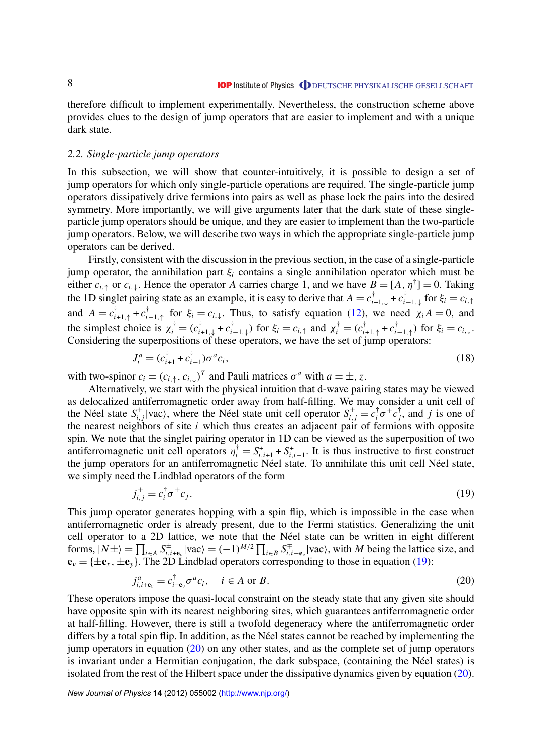<span id="page-8-0"></span>therefore difficult to implement experimentally. Nevertheless, the construction scheme above provides clues to the design of jump operators that are easier to implement and with a unique dark state.

#### *2.2. Single-particle jump operators*

In this subsection, we will show that counter-intuitively, it is possible to design a set of jump operators for which only single-particle operations are required. The single-particle jump operators dissipatively drive fermions into pairs as well as phase lock the pairs into the desired symmetry. More importantly, we will give arguments later that the dark state of these singleparticle jump operators should be unique, and they are easier to implement than the two-particle jump operators. Below, we will describe two ways in which the appropriate single-particle jump operators can be derived.

Firstly, consistent with the discussion in the previous section, in the case of a single-particle jump operator, the annihilation part ξ*<sup>i</sup>* contains a single annihilation operator which must be either  $c_{i,\uparrow}$  or  $c_{i,\downarrow}$ . Hence the operator *A* carries charge 1, and we have  $B = [A, \eta^{\dagger}] = 0$ . Taking the 1D singlet pairing state as an example, it is easy to derive that  $A = c_{i+1,\downarrow}^{\dagger} + c_{i-1,\downarrow}^{\dagger}$  for  $\xi_i = c_{i,\uparrow}$ and  $A = c_{i+1,\uparrow}^{\dagger} + c_{i-1,\uparrow}^{\dagger}$  for  $\xi_i = c_{i,\downarrow}$ . Thus, to satisfy equation [\(12\)](#page-7-0), we need  $\chi_i A = 0$ , and the simplest choice is  $\chi_i^{\dagger} = (c_{i+1,\downarrow}^{\dagger} + c_{i-1,\downarrow}^{\dagger})$  for  $\xi_i = c_{i,\uparrow}$  and  $\chi_i^{\dagger} = (c_{i+1,\uparrow}^{\dagger} + c_{i-1,\uparrow}^{\dagger})$  for  $\xi_i = c_{i,\downarrow}$ . Considering the superpositions of these operators, we have the set of jump operators:

$$
J_i^a = (c_{i+1}^\dagger + c_{i-1}^\dagger)\sigma^a c_i,\tag{18}
$$

with two-spinor  $c_i = (c_{i,\uparrow}, c_{i,\downarrow})^T$  and Pauli matrices  $\sigma^a$  with  $a = \pm, z$ .

Alternatively, we start with the physical intuition that d-wave pairing states may be viewed as delocalized antiferromagnetic order away from half-filling. We may consider a unit cell of the Néel state  $S_i^{\pm}$  $\sum_{i,j}^{\pm} |\text{vac}\rangle$ , where the Néel state unit cell operator  $S^{\pm}_{i,j} = c_i^{\dagger} \sigma^{\pm} c_j^{\dagger}$  $j$ , and *j* is one of the nearest neighbors of site *i* which thus creates an adjacent pair of fermions with opposite spin. We note that the singlet pairing operator in 1D can be viewed as the superposition of two antiferromagnetic unit cell operators  $\eta_i^{\dagger} = S_{i,i+1}^+ + S_{i,i-1}^+$ . It is thus instructive to first construct the jump operators for an antiferromagnetic Néel state. To annihilate this unit cell Néel state, we simply need the Lindblad operators of the form

$$
j_{i,j}^{\pm} = c_i^{\dagger} \sigma^{\pm} c_j. \tag{19}
$$

This jump operator generates hopping with a spin flip, which is impossible in the case when antiferromagnetic order is already present, due to the Fermi statistics. Generalizing the unit cell operator to a 2D lattice, we note that the Néel state can be written in eight different forms,  $|N \pm \rangle = \prod_{i \in A} S_{i,i}^{\pm}$  $\sum_{i,i+\mathbf{e}_v}^{\infty} |vac\rangle = (-1)^{M/2} \prod_{i \in B} S_{i,i}^{\mp}$ *i*,*i*<sub>*i*</sub>, *i* −**e**<sup>0</sup> *i*</sub> *i i*<sub>*i*</sub>, *i* −*e***<sup>0</sup>** *i***</del>** *i M* being the lattice size, and  ${\bf e}_v = {\pm {\bf e}_x, \pm {\bf e}_y}$ . The 2D Lindblad operators corresponding to those in equation (19):

$$
j_{i,i+\mathbf{e}_v}^a = c_{i+\mathbf{e}_v}^\dagger \sigma^a c_i, \quad i \in A \text{ or } B.
$$
 (20)

These operators impose the quasi-local constraint on the steady state that any given site should have opposite spin with its nearest neighboring sites, which guarantees antiferromagnetic order at half-filling. However, there is still a twofold degeneracy where the antiferromagnetic order differs by a total spin flip. In addition, as the Néel states cannot be reached by implementing the jump operators in equation  $(20)$  on any other states, and as the complete set of jump operators is invariant under a Hermitian conjugation, the dark subspace, (containing the Néel states) is isolated from the rest of the Hilbert space under the dissipative dynamics given by equation (20).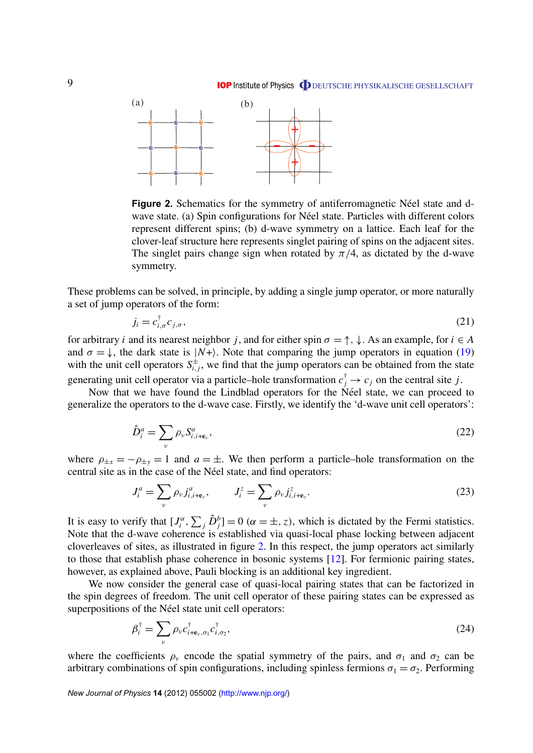<span id="page-9-0"></span>

Figure 2. Schematics for the symmetry of antiferromagnetic Néel state and dwave state. (a) Spin configurations for Néel state. Particles with different colors represent different spins; (b) d-wave symmetry on a lattice. Each leaf for the clover-leaf structure here represents singlet pairing of spins on the adjacent sites. The singlet pairs change sign when rotated by  $\pi/4$ , as dictated by the d-wave symmetry.

These problems can be solved, in principle, by adding a single jump operator, or more naturally a set of jump operators of the form:

$$
j_i = c_{i,\sigma}^{\dagger} c_{j,\sigma},\tag{21}
$$

for arbitrary *i* and its nearest neighbor *j*, and for either spin  $\sigma = \uparrow$ ,  $\downarrow$ . As an example, for  $i \in A$ and  $\sigma = \downarrow$ , the dark state is  $|N+\rangle$ . Note that comparing the jump operators in equation [\(19\)](#page-8-0) with the unit cell operators  $S_i^{\pm}$  $\sum_{i,j}^{\text{d}}$ , we find that the jump operators can be obtained from the state generating unit cell operator via a particle–hole transformation  $c_j^{\dagger} \rightarrow c_j$  on the central site *j*.

Now that we have found the Lindblad operators for the Néel state, we can proceed to generalize the operators to the d-wave case. Firstly, we identify the 'd-wave unit cell operators':

$$
\hat{D}_i^a = \sum_{\nu} \rho_{\nu} S_{i,i+\mathbf{e}_{\nu}}^a,\tag{22}
$$

where  $\rho_{\pm x} = -\rho_{\pm y} = 1$  and  $a = \pm$ . We then perform a particle–hole transformation on the central site as in the case of the Néel state, and find operators:

$$
J_i^a = \sum_{\nu} \rho_{\nu} j_{i,i+\mathbf{e}_{\nu}}^a, \qquad J_i^z = \sum_{\nu} \rho_{\nu} j_{i,i+\mathbf{e}_{\nu}}^z.
$$
 (23)

It is easy to verify that  $[J_i^{\alpha}, \sum_j \hat{D}_j^b] = 0$  ( $\alpha = \pm, z$ ), which is dictated by the Fermi statistics. Note that the d-wave coherence is established via quasi-local phase locking between adjacent cloverleaves of sites, as illustrated in figure 2. In this respect, the jump operators act similarly to those that establish phase coherence in bosonic systems [\[12\]](#page-34-0). For fermionic pairing states, however, as explained above, Pauli blocking is an additional key ingredient.

We now consider the general case of quasi-local pairing states that can be factorized in the spin degrees of freedom. The unit cell operator of these pairing states can be expressed as superpositions of the Néel state unit cell operators:

$$
\beta_i^{\dagger} = \sum_{\nu} \rho_{\nu} c_{i + \mathbf{e}_{\nu}, \sigma_1}^{\dagger} c_{i, \sigma_2}^{\dagger}, \tag{24}
$$

where the coefficients  $\rho_{\nu}$  encode the spatial symmetry of the pairs, and  $\sigma_1$  and  $\sigma_2$  can be arbitrary combinations of spin configurations, including spinless fermions  $\sigma_1 = \sigma_2$ . Performing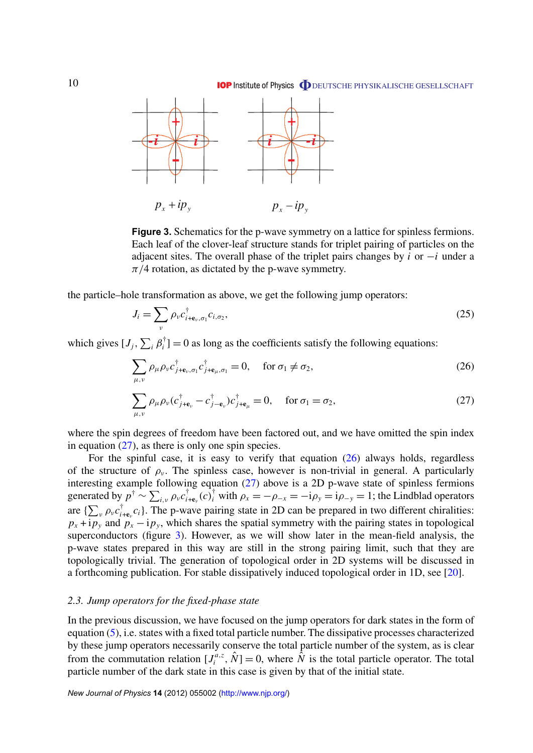<span id="page-10-0"></span>

**Figure 3.** Schematics for the p-wave symmetry on a lattice for spinless fermions. Each leaf of the clover-leaf structure stands for triplet pairing of particles on the adjacent sites. The overall phase of the triplet pairs changes by *i* or −*i* under a  $\pi/4$  rotation, as dictated by the p-wave symmetry.

the particle–hole transformation as above, we get the following jump operators:

$$
J_i = \sum_{\nu} \rho_{\nu} c_{i + \mathbf{e}_{\nu}, \sigma_1}^{\dagger} c_{i, \sigma_2}, \tag{25}
$$

which gives  $[J_j, \sum_i \beta_i^{\dagger}$  $i<sup>\dagger</sup>$ <sub>*i*</sub>] = 0 as long as the coefficients satisfy the following equations:

$$
\sum_{\mu,\nu} \rho_{\mu} \rho_{\nu} c^{\dagger}_{j + \mathbf{e}_{\nu}, \sigma_1} c^{\dagger}_{j + \mathbf{e}_{\mu}, \sigma_1} = 0, \quad \text{for } \sigma_1 \neq \sigma_2,
$$
\n(26)

$$
\sum_{\mu,\nu} \rho_{\mu} \rho_{\nu} (c_{j+\mathbf{e}_{\nu}}^{\dagger} - c_{j-\mathbf{e}_{\nu}}^{\dagger}) c_{j+\mathbf{e}_{\mu}}^{\dagger} = 0, \quad \text{for } \sigma_1 = \sigma_2,
$$
\n(27)

where the spin degrees of freedom have been factored out, and we have omitted the spin index in equation  $(27)$ , as there is only one spin species.

For the spinful case, it is easy to verify that equation (26) always holds, regardless of the structure of  $\rho_{\nu}$ . The spinless case, however is non-trivial in general. A particularly interesting example following equation (27) above is a 2D p-wave state of spinless fermions generated by  $p^{\dagger} \sim \sum_{i,\nu} \rho_{\nu} c_i^{\dagger}$  $\int_{i+\mathbf{e}_y}^{i} (c) \int_{i}^{x}$  with  $\rho_x = -\rho_{-x} = -i\rho_y = i\rho_{-y} = 1$ ; the Lindblad operators are  $\{\sum_{\nu} \rho_{\nu} c_i^{\dagger}$  $\phi_{i+\mathbf{e}_v}^{\dagger}c_i$ . The p-wave pairing state in 2D can be prepared in two different chiralities:  $p_x + ip_y$  and  $p_x - ip_y$ , which shares the spatial symmetry with the pairing states in topological superconductors (figure 3). However, as we will show later in the mean-field analysis, the p-wave states prepared in this way are still in the strong pairing limit, such that they are topologically trivial. The generation of topological order in 2D systems will be discussed in a forthcoming publication. For stable dissipatively induced topological order in 1D, see [\[20\]](#page-34-0).

#### *2.3. Jump operators for the fixed-phase state*

In the previous discussion, we have focused on the jump operators for dark states in the form of equation [\(5\)](#page-6-0), i.e. states with a fixed total particle number. The dissipative processes characterized by these jump operators necessarily conserve the total particle number of the system, as is clear from the commutation relation  $[J_i^{a,z}]$  $\hat{N}$ <sup>*a*</sup>,  $\hat{N}$ ] = 0, where  $\hat{N}$  is the total particle operator. The total particle number of the dark state in this case is given by that of the initial state.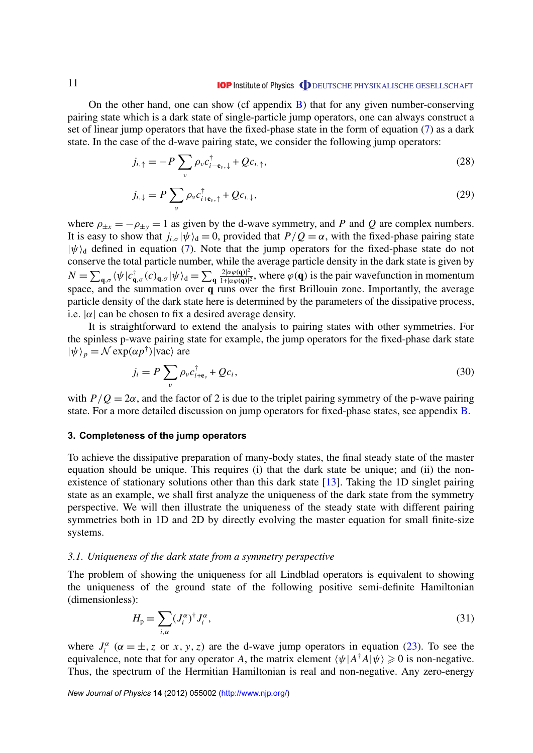<span id="page-11-0"></span>On the other hand, one can show (cf appendix  $\bf{B}$ ) that for any given number-conserving pairing state which is a dark state of single-particle jump operators, one can always construct a set of linear jump operators that have the fixed-phase state in the form of equation [\(7\)](#page-6-0) as a dark state. In the case of the d-wave pairing state, we consider the following jump operators:

$$
j_{i,\uparrow} = -P \sum_{\nu} \rho_{\nu} c_{i-\mathbf{e}_{\nu},\downarrow}^{\dagger} + Q c_{i,\uparrow}, \qquad (28)
$$

$$
j_{i,\downarrow} = P \sum_{\nu} \rho_{\nu} c_{i+\mathbf{e}_{\nu},\uparrow}^{\dagger} + Q c_{i,\downarrow}, \qquad (29)
$$

where  $\rho_{\pm x} = -\rho_{\pm y} = 1$  as given by the d-wave symmetry, and *P* and *Q* are complex numbers. It is easy to show that  $j_{i,\sigma} |\psi\rangle_d = 0$ , provided that  $P/Q = \alpha$ , with the fixed-phase pairing state  $|\psi\rangle_d$  defined in equation [\(7\)](#page-6-0). Note that the jump operators for the fixed-phase state do not conserve the total particle number, while the average particle density in the dark state is given by  $N = \sum_{\mathbf{q},\sigma} \langle \psi | c_{\mathbf{q},\sigma}^{\dagger}(c)_{\mathbf{q},\sigma} | \psi \rangle_{\mathbf{d}} = \sum_{\mathbf{q}}$  $2|\alpha\varphi(\mathbf{q})|^2$  $\frac{2|\alpha\varphi(\mathbf{q})|^2}{1+|\alpha\varphi(\mathbf{q})|^2}$ , where  $\varphi(\mathbf{q})$  is the pair wavefunction in momentum space, and the summation over **q** runs over the first Brillouin zone. Importantly, the average particle density of the dark state here is determined by the parameters of the dissipative process, i.e.  $|\alpha|$  can be chosen to fix a desired average density.

It is straightforward to extend the analysis to pairing states with other symmetries. For the spinless p-wave pairing state for example, the jump operators for the fixed-phase dark state  $|\psi\rangle_p = \mathcal{N} \exp(\alpha p^{\dagger}) |\text{vac}\rangle$  are

$$
j_i = P \sum_{\nu} \rho_{\nu} c_{i+\mathbf{e}_{\nu}}^{\dagger} + Qc_i, \tag{30}
$$

with  $P/O = 2\alpha$ , and the factor of 2 is due to the triplet pairing symmetry of the p-wave pairing state. For a more detailed discussion on jump operators for fixed-phase states, see appendix [B.](#page-29-0)

#### **3. Completeness of the jump operators**

To achieve the dissipative preparation of many-body states, the final steady state of the master equation should be unique. This requires (i) that the dark state be unique; and (ii) the non-existence of stationary solutions other than this dark state [\[13\]](#page-34-0). Taking the 1D singlet pairing state as an example, we shall first analyze the uniqueness of the dark state from the symmetry perspective. We will then illustrate the uniqueness of the steady state with different pairing symmetries both in 1D and 2D by directly evolving the master equation for small finite-size systems.

#### *3.1. Uniqueness of the dark state from a symmetry perspective*

The problem of showing the uniqueness for all Lindblad operators is equivalent to showing the uniqueness of the ground state of the following positive semi-definite Hamiltonian (dimensionless):

$$
H_{\mathbf{p}} = \sum_{i,\alpha} (J_i^{\alpha})^{\dagger} J_i^{\alpha},\tag{31}
$$

where  $J_i^{\alpha}$  ( $\alpha = \pm$ , *z* or *x*, *y*, *z*) are the d-wave jump operators in equation [\(23\)](#page-9-0). To see the equivalence, note that for any operator *A*, the matrix element  $\langle \psi | A^{\dagger} A | \psi \rangle \geq 0$  is non-negative. Thus, the spectrum of the Hermitian Hamiltonian is real and non-negative. Any zero-energy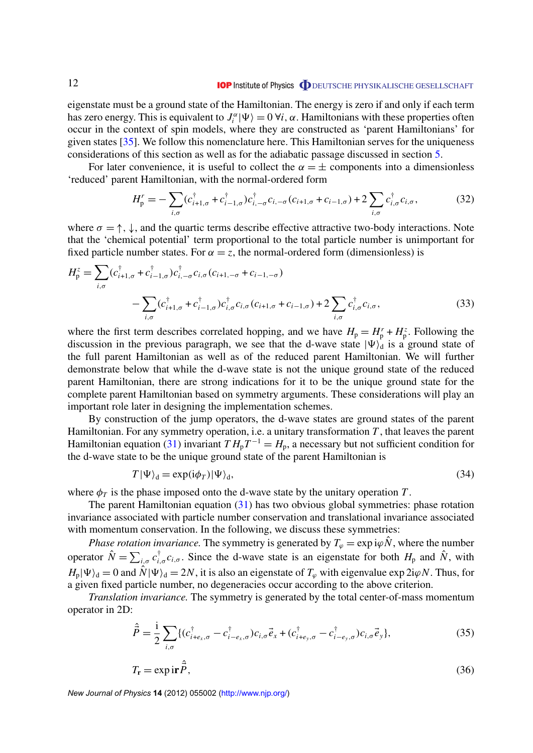<span id="page-12-0"></span>eigenstate must be a ground state of the Hamiltonian. The energy is zero if and only if each term has zero energy. This is equivalent to  $J_i^{\alpha}|\Psi\rangle = 0 \ \forall i, \alpha$ . Hamiltonians with these properties often occur in the context of spin models, where they are constructed as 'parent Hamiltonians' for given states [\[35\]](#page-35-0). We follow this nomenclature here. This Hamiltonian serves for the uniqueness considerations of this section as well as for the adiabatic passage discussed in section [5.](#page-19-0)

For later convenience, it is useful to collect the  $\alpha = \pm$  components into a dimensionless 'reduced' parent Hamiltonian, with the normal-ordered form

$$
H_{\mathbf{p}}^{r} = -\sum_{i,\sigma} (c_{i+1,\sigma}^{\dagger} + c_{i-1,\sigma}^{\dagger}) c_{i,-\sigma}^{\dagger} c_{i,-\sigma} (c_{i+1,\sigma} + c_{i-1,\sigma}) + 2 \sum_{i,\sigma} c_{i,\sigma}^{\dagger} c_{i,\sigma}, \tag{32}
$$

where  $\sigma = \uparrow, \downarrow$ , and the quartic terms describe effective attractive two-body interactions. Note that the 'chemical potential' term proportional to the total particle number is unimportant for fixed particle number states. For  $\alpha = z$ , the normal-ordered form (dimensionless) is

$$
H_{\rm p}^{z} = \sum_{i,\sigma} (c_{i+1,\sigma}^{\dagger} + c_{i-1,\sigma}^{\dagger}) c_{i,-\sigma}^{\dagger} c_{i,\sigma} (c_{i+1,-\sigma} + c_{i-1,-\sigma})
$$
  
 
$$
- \sum_{i,\sigma} (c_{i+1,\sigma}^{\dagger} + c_{i-1,\sigma}^{\dagger}) c_{i,\sigma}^{\dagger} c_{i,\sigma} (c_{i+1,\sigma} + c_{i-1,\sigma}) + 2 \sum_{i,\sigma} c_{i,\sigma}^{\dagger} c_{i,\sigma}, \qquad (33)
$$

where the first term describes correlated hopping, and we have  $H_p = H_p^r + H_p^z$ . Following the discussion in the previous paragraph, we see that the d-wave state  $|\Psi\rangle_d$  is a ground state of the full parent Hamiltonian as well as of the reduced parent Hamiltonian. We will further demonstrate below that while the d-wave state is not the unique ground state of the reduced parent Hamiltonian, there are strong indications for it to be the unique ground state for the complete parent Hamiltonian based on symmetry arguments. These considerations will play an important role later in designing the implementation schemes.

By construction of the jump operators, the d-wave states are ground states of the parent Hamiltonian. For any symmetry operation, i.e. a unitary transformation *T* , that leaves the parent Hamiltonian equation [\(31\)](#page-11-0) invariant  $TH_pT^{-1} = H_p$ , a necessary but not sufficient condition for the d-wave state to be the unique ground state of the parent Hamiltonian is

$$
T|\Psi\rangle_{\mathbf{d}} = \exp(i\phi_T)|\Psi\rangle_{\mathbf{d}},\tag{34}
$$

where  $\phi_T$  is the phase imposed onto the d-wave state by the unitary operation *T*.

The parent Hamiltonian equation  $(31)$  has two obvious global symmetries: phase rotation invariance associated with particle number conservation and translational invariance associated with momentum conservation. In the following, we discuss these symmetries:

*Phase rotation invariance.* The symmetry is generated by  $T_{\varphi} = \exp i\varphi \hat{N}$ , where the number operator  $\hat{N} = \sum_{i,\sigma} c_{i,\sigma}^{\dagger} c_{i,\sigma}$ . Since the d-wave state is an eigenstate for both  $H_{\rm p}$  and  $\hat{N}$ , with  $H_p|\Psi\rangle_d = 0$  and  $\hat{N}|\Psi\rangle_d = 2N$ , it is also an eigenstate of  $T_\varphi$  with eigenvalue exp  $2i\varphi N$ . Thus, for a given fixed particle number, no degeneracies occur according to the above criterion.

*Translation invariance.* The symmetry is generated by the total center-of-mass momentum operator in 2D:

$$
\hat{\vec{P}} = \frac{i}{2} \sum_{i,\sigma} \{ (c_{i+e_x,\sigma}^{\dagger} - c_{i-e_x,\sigma}^{\dagger}) c_{i,\sigma} \vec{e}_x + (c_{i+e_y,\sigma}^{\dagger} - c_{i-e_y,\sigma}^{\dagger}) c_{i,\sigma} \vec{e}_y \},
$$
(35)

$$
T_{\mathbf{r}} = \exp i\mathbf{r}\hat{\vec{P}},\tag{36}
$$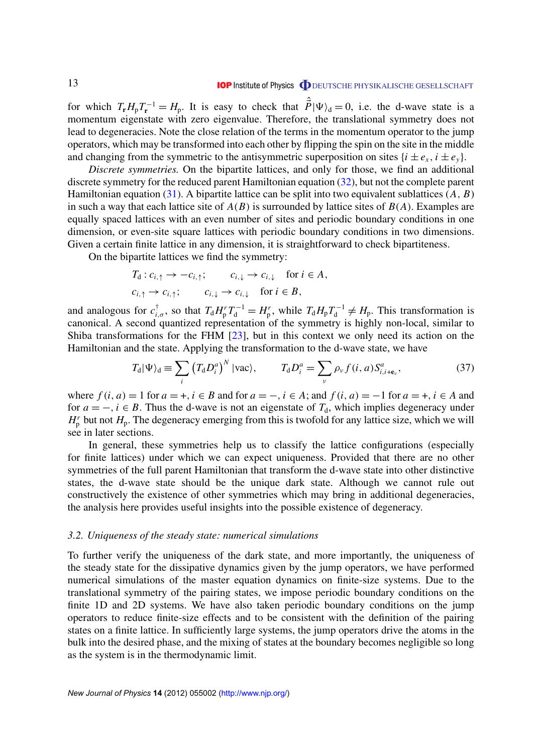<span id="page-13-0"></span>for which  $T_{\bf r} H_{\bf p} T_{\bf r}^{-1} = H_{\bf p}$ . It is easy to check that  $\hat{\vec{P}} | \Psi \rangle_{\rm d} = 0$ , i.e. the d-wave state is a momentum eigenstate with zero eigenvalue. Therefore, the translational symmetry does not lead to degeneracies. Note the close relation of the terms in the momentum operator to the jump operators, which may be transformed into each other by flipping the spin on the site in the middle and changing from the symmetric to the antisymmetric superposition on sites  $\{i \pm e_x, i \pm e_y\}$ .

*Discrete symmetries.* On the bipartite lattices, and only for those, we find an additional discrete symmetry for the reduced parent Hamiltonian equation [\(32\)](#page-12-0), but not the complete parent Hamiltonian equation [\(31\)](#page-11-0). A bipartite lattice can be split into two equivalent sublattices (*A*, *B*) in such a way that each lattice site of  $A(B)$  is surrounded by lattice sites of  $B(A)$ . Examples are equally spaced lattices with an even number of sites and periodic boundary conditions in one dimension, or even-site square lattices with periodic boundary conditions in two dimensions. Given a certain finite lattice in any dimension, it is straightforward to check bipartiteness.

On the bipartite lattices we find the symmetry:

$$
T_{d}: c_{i,\uparrow} \to -c_{i,\uparrow}; \qquad c_{i,\downarrow} \to c_{i,\downarrow} \quad \text{for } i \in A,
$$
  

$$
c_{i,\uparrow} \to c_{i,\uparrow}; \qquad c_{i,\downarrow} \to c_{i,\downarrow} \quad \text{for } i \in B,
$$

and analogous for  $c_{i,\sigma}^{\dagger}$ , so that  $T_d H_{p}^{r} T_d^{-1} = H_{p}^{r}$ , while  $T_d H_{p} T_d^{-1}$  $C_d^{-1} \neq H_p$ . This transformation is canonical. A second quantized representation of the symmetry is highly non-local, similar to Shiba transformations for the FHM  $[23]$ , but in this context we only need its action on the Hamiltonian and the state. Applying the transformation to the d-wave state, we have

$$
T_{\rm d}|\Psi\rangle_{\rm d} \equiv \sum_{i} \left(T_{\rm d}D_{i}^{a}\right)^{N}|\text{vac}\rangle, \qquad T_{\rm d}D_{i}^{a} = \sum_{\nu} \rho_{\nu}f(i,a)S_{i,i+\mathbf{e}_{\nu}}^{a}, \tag{37}
$$

where  $f(i, a) = 1$  for  $a = +$ ,  $i \in B$  and for  $a = -$ ,  $i \in A$ ; and  $f(i, a) = -1$  for  $a = +$ ,  $i \in A$  and for  $a = -$ ,  $i \in B$ . Thus the d-wave is not an eigenstate of  $T<sub>d</sub>$ , which implies degeneracy under  $H_{p}^{r}$  but not  $H_{p}$ . The degeneracy emerging from this is twofold for any lattice size, which we will see in later sections.

In general, these symmetries help us to classify the lattice configurations (especially for finite lattices) under which we can expect uniqueness. Provided that there are no other symmetries of the full parent Hamiltonian that transform the d-wave state into other distinctive states, the d-wave state should be the unique dark state. Although we cannot rule out constructively the existence of other symmetries which may bring in additional degeneracies, the analysis here provides useful insights into the possible existence of degeneracy.

#### *3.2. Uniqueness of the steady state: numerical simulations*

To further verify the uniqueness of the dark state, and more importantly, the uniqueness of the steady state for the dissipative dynamics given by the jump operators, we have performed numerical simulations of the master equation dynamics on finite-size systems. Due to the translational symmetry of the pairing states, we impose periodic boundary conditions on the finite 1D and 2D systems. We have also taken periodic boundary conditions on the jump operators to reduce finite-size effects and to be consistent with the definition of the pairing states on a finite lattice. In sufficiently large systems, the jump operators drive the atoms in the bulk into the desired phase, and the mixing of states at the boundary becomes negligible so long as the system is in the thermodynamic limit.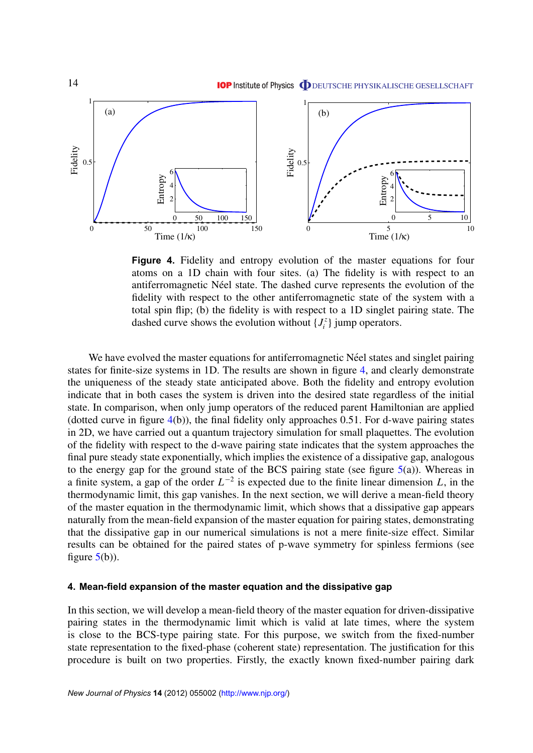<span id="page-14-0"></span>

Figure 4. Fidelity and entropy evolution of the master equations for four atoms on a 1D chain with four sites. (a) The fidelity is with respect to an antiferromagnetic Néel state. The dashed curve represents the evolution of the fidelity with respect to the other antiferromagnetic state of the system with a total spin flip; (b) the fidelity is with respect to a 1D singlet pairing state. The dashed curve shows the evolution without  $\{J_i^z\}$  $\binom{z}{i}$  jump operators.

We have evolved the master equations for antiferromagnetic Néel states and singlet pairing states for finite-size systems in 1D. The results are shown in figure 4, and clearly demonstrate the uniqueness of the steady state anticipated above. Both the fidelity and entropy evolution indicate that in both cases the system is driven into the desired state regardless of the initial state. In comparison, when only jump operators of the reduced parent Hamiltonian are applied (dotted curve in figure 4(b)), the final fidelity only approaches 0.51. For d-wave pairing states in 2D, we have carried out a quantum trajectory simulation for small plaquettes. The evolution of the fidelity with respect to the d-wave pairing state indicates that the system approaches the final pure steady state exponentially, which implies the existence of a dissipative gap, analogous to the energy gap for the ground state of the BCS pairing state (see figure  $5(a)$  $5(a)$ ). Whereas in a finite system, a gap of the order  $L^{-2}$  is expected due to the finite linear dimension *L*, in the thermodynamic limit, this gap vanishes. In the next section, we will derive a mean-field theory of the master equation in the thermodynamic limit, which shows that a dissipative gap appears naturally from the mean-field expansion of the master equation for pairing states, demonstrating that the dissipative gap in our numerical simulations is not a mere finite-size effect. Similar results can be obtained for the paired states of p-wave symmetry for spinless fermions (see figure  $5(b)$  $5(b)$ ).

#### **4. Mean-field expansion of the master equation and the dissipative gap**

In this section, we will develop a mean-field theory of the master equation for driven-dissipative pairing states in the thermodynamic limit which is valid at late times, where the system is close to the BCS-type pairing state. For this purpose, we switch from the fixed-number state representation to the fixed-phase (coherent state) representation. The justification for this procedure is built on two properties. Firstly, the exactly known fixed-number pairing dark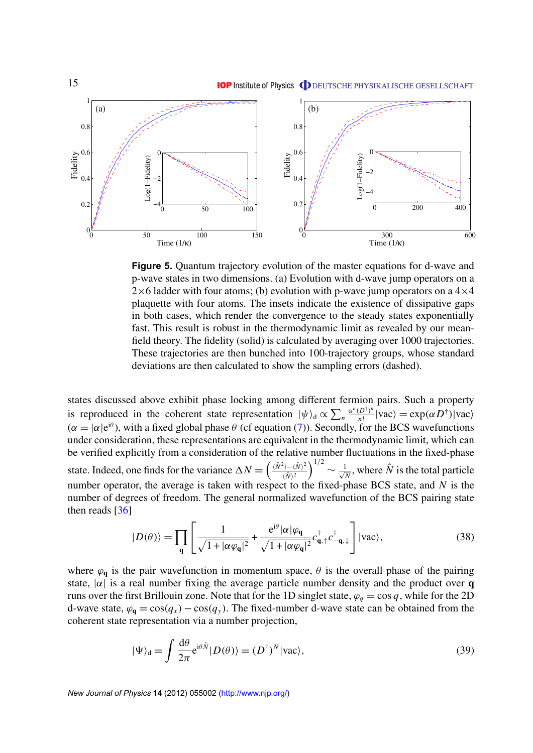<span id="page-15-0"></span>

**Figure 5.** Quantum trajectory evolution of the master equations for d-wave and p-wave states in two dimensions. (a) Evolution with d-wave jump operators on a  $2\times6$  ladder with four atoms; (b) evolution with p-wave jump operators on a  $4\times4$ plaquette with four atoms. The insets indicate the existence of dissipative gaps in both cases, which render the convergence to the steady states exponentially fast. This result is robust in the thermodynamic limit as revealed by our meanfield theory. The fidelity (solid) is calculated by averaging over 1000 trajectories. These trajectories are then bunched into 100-trajectory groups, whose standard deviations are then calculated to show the sampling errors (dashed).

states discussed above exhibit phase locking among different fermion pairs. Such a property is reproduced in the coherent state representation  $|\psi\rangle_d \propto \sum_n$  $\alpha^n (D^{\dagger})^n$  $\langle D^{\dagger}\rangle^{n}_{n} |vac\rangle = \exp(\alpha D^{\dagger}) |vac\rangle$  $(\alpha = |\alpha|e^{i\theta})$ , with a fixed global phase  $\theta$  (cf equation [\(7\)](#page-6-0)). Secondly, for the BCS wavefunctions under consideration, these representations are equivalent in the thermodynamic limit, which can be verified explicitly from a consideration of the relative number fluctuations in the fixed-phase state. Indeed, one finds for the variance  $\Delta N = \left(\frac{\langle \hat{N}^2 \rangle - \langle \hat{N} \rangle^2}{\langle \hat{N} \rangle^2}\right)$  $\frac{\langle\hat{\Omega}\rangle-\langle\hat{N}\rangle^{2}}{\langle\hat{N}\rangle^{2}}\bigg)^{1/2}\sim\frac{1}{\sqrt{N}}$  $\frac{1}{\overline{N}}$ , where  $\hat{N}$  is the total particle number operator, the average is taken with respect to the fixed-phase BCS state, and *N* is the number of degrees of freedom. The general normalized wavefunction of the BCS pairing state then reads [\[36\]](#page-35-0)

$$
|D(\theta)\rangle = \prod_{\mathbf{q}} \left[ \frac{1}{\sqrt{1 + |\alpha \varphi_{\mathbf{q}}|^2}} + \frac{e^{i\theta} |\alpha| \varphi_{\mathbf{q}}}{\sqrt{1 + |\alpha \varphi_{\mathbf{q}}|^2}} c_{\mathbf{q},\uparrow}^{\dagger} c_{-\mathbf{q},\downarrow}^{\dagger} \right] |vac\rangle, \tag{38}
$$

where  $\varphi$ <sup>q</sup> is the pair wavefunction in momentum space,  $\theta$  is the overall phase of the pairing state,  $|\alpha|$  is a real number fixing the average particle number density and the product over **q** runs over the first Brillouin zone. Note that for the 1D singlet state,  $\varphi_q = \cos q$ , while for the 2D d-wave state,  $\varphi_{\bf q} = \cos(q_x) - \cos(q_y)$ . The fixed-number d-wave state can be obtained from the coherent state representation via a number projection,

$$
|\Psi\rangle_{d} = \int \frac{d\theta}{2\pi} e^{i\theta \hat{N}} |D(\theta)\rangle = (D^{\dagger})^{N} |\text{vac}\rangle, \tag{39}
$$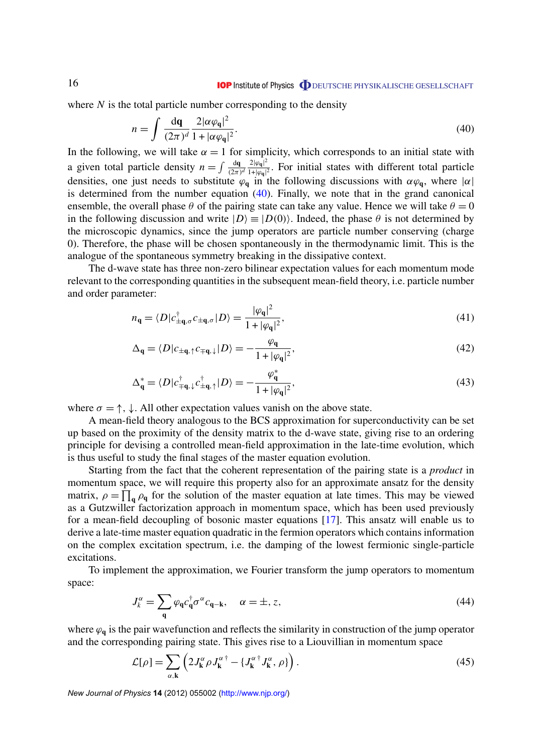<span id="page-16-0"></span>where *N* is the total particle number corresponding to the density

$$
n = \int \frac{\mathrm{d}\mathbf{q}}{(2\pi)^d} \frac{2|\alpha\varphi_\mathbf{q}|^2}{1 + |\alpha\varphi_\mathbf{q}|^2}.\tag{40}
$$

In the following, we will take  $\alpha = 1$  for simplicity, which corresponds to an initial state with a given total particle density  $n = \int \frac{dq}{\sqrt{2\pi}}$  $\sqrt{(2\pi)^d}$  $2|\varphi_{\mathbf{q}}|^2$  $\frac{2|\varphi_{q}|}{1+|\varphi_{q}|^2}$ . For initial states with different total particle densities, one just needs to substitute  $\varphi_q$  in the following discussions with  $\alpha\varphi_q$ , where  $|\alpha|$ is determined from the number equation (40). Finally, we note that in the grand canonical ensemble, the overall phase  $\theta$  of the pairing state can take any value. Hence we will take  $\theta = 0$ in the following discussion and write  $|D\rangle \equiv |D(0)\rangle$ . Indeed, the phase  $\theta$  is not determined by the microscopic dynamics, since the jump operators are particle number conserving (charge 0). Therefore, the phase will be chosen spontaneously in the thermodynamic limit. This is the analogue of the spontaneous symmetry breaking in the dissipative context.

The d-wave state has three non-zero bilinear expectation values for each momentum mode relevant to the corresponding quantities in the subsequent mean-field theory, i.e. particle number and order parameter:

$$
n_{\mathbf{q}} = \langle D | c_{\pm \mathbf{q}, \sigma}^{\dagger} c_{\pm \mathbf{q}, \sigma} | D \rangle = \frac{|\varphi_{\mathbf{q}}|^2}{1 + |\varphi_{\mathbf{q}}|^2},\tag{41}
$$

$$
\Delta_{\mathbf{q}} = \langle D | c_{\pm \mathbf{q}, \uparrow} c_{\mp \mathbf{q}, \downarrow} | D \rangle = -\frac{\varphi_{\mathbf{q}}}{1 + |\varphi_{\mathbf{q}}|^2},\tag{42}
$$

$$
\Delta_{\mathbf{q}}^* = \langle D|c_{\mp \mathbf{q},\downarrow}^\dagger c_{\pm \mathbf{q},\uparrow}^\dagger|D\rangle = -\frac{\varphi_{\mathbf{q}}^*}{1 + |\varphi_{\mathbf{q}}|^2},\tag{43}
$$

where  $\sigma = \uparrow$ ,  $\downarrow$ . All other expectation values vanish on the above state.

A mean-field theory analogous to the BCS approximation for superconductivity can be set up based on the proximity of the density matrix to the d-wave state, giving rise to an ordering principle for devising a controlled mean-field approximation in the late-time evolution, which is thus useful to study the final stages of the master equation evolution.

Starting from the fact that the coherent representation of the pairing state is a *product* in momentum space, we will require this property also for an approximate ansatz for the density matrix,  $\rho = \prod_{\mathbf{q}} \rho_{\mathbf{q}}$  for the solution of the master equation at late times. This may be viewed as a Gutzwiller factorization approach in momentum space, which has been used previously for a mean-field decoupling of bosonic master equations [\[17\]](#page-34-0). This ansatz will enable us to derive a late-time master equation quadratic in the fermion operators which contains information on the complex excitation spectrum, i.e. the damping of the lowest fermionic single-particle excitations.

To implement the approximation, we Fourier transform the jump operators to momentum space:

$$
J_k^{\alpha} = \sum_{\mathbf{q}} \varphi_{\mathbf{q}} c_{\mathbf{q}}^{\dagger} \sigma^{\alpha} c_{\mathbf{q}-\mathbf{k}}, \quad \alpha = \pm, z,
$$
 (44)

where  $\varphi_q$  is the pair wavefunction and reflects the similarity in construction of the jump operator and the corresponding pairing state. This gives rise to a Liouvillian in momentum space

$$
\mathcal{L}[\rho] = \sum_{\alpha, \mathbf{k}} \left( 2J_{\mathbf{k}}^{\alpha} \rho J_{\mathbf{k}}^{\alpha \dagger} - \{J_{\mathbf{k}}^{\alpha \dagger} J_{\mathbf{k}}^{\alpha}, \rho \} \right). \tag{45}
$$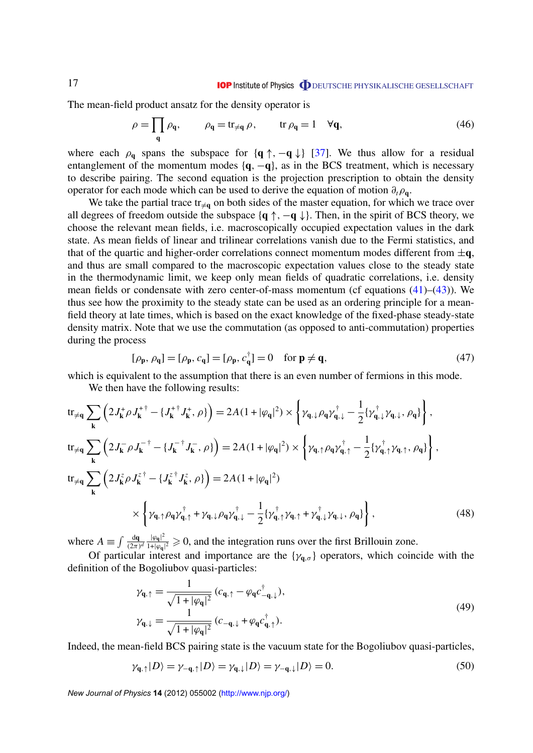<span id="page-17-0"></span>The mean-field product ansatz for the density operator is

$$
\rho = \prod_{\mathbf{q}} \rho_{\mathbf{q}}, \qquad \rho_{\mathbf{q}} = \text{tr}_{\neq \mathbf{q}} \rho, \qquad \text{tr} \rho_{\mathbf{q}} = 1 \quad \forall \mathbf{q}, \tag{46}
$$

where each  $\rho_q$  spans the subspace for  $\{q \uparrow, -q \downarrow\}$  [\[37\]](#page-35-0). We thus allow for a residual entanglement of the momentum modes  $\{q, -q\}$ , as in the BCS treatment, which is necessary to describe pairing. The second equation is the projection prescription to obtain the density operator for each mode which can be used to derive the equation of motion  $\partial_t \rho_{\bf q}$ .

We take the partial trace  $tr_{\neq q}$  on both sides of the master equation, for which we trace over all degrees of freedom outside the subspace  $\{q \uparrow, -q \downarrow\}$ . Then, in the spirit of BCS theory, we choose the relevant mean fields, i.e. macroscopically occupied expectation values in the dark state. As mean fields of linear and trilinear correlations vanish due to the Fermi statistics, and that of the quartic and higher-order correlations connect momentum modes different from  $\pm \mathbf{q}$ , and thus are small compared to the macroscopic expectation values close to the steady state in the thermodynamic limit, we keep only mean fields of quadratic correlations, i.e. density mean fields or condensate with zero center-of-mass momentum (cf equations  $(41)$ – $(43)$ ). We thus see how the proximity to the steady state can be used as an ordering principle for a meanfield theory at late times, which is based on the exact knowledge of the fixed-phase steady-state density matrix. Note that we use the commutation (as opposed to anti-commutation) properties during the process

$$
[\rho_{\mathbf{p}}, \rho_{\mathbf{q}}] = [\rho_{\mathbf{p}}, c_{\mathbf{q}}] = [\rho_{\mathbf{p}}, c_{\mathbf{q}}^{\dagger}] = 0 \quad \text{for } \mathbf{p} \neq \mathbf{q}, \tag{47}
$$

which is equivalent to the assumption that there is an even number of fermions in this mode. We then have the following results:

$$
tr_{\neq q} \sum_{k} \left( 2J_{k}^{+} \rho J_{k}^{+ \dagger} - \{J_{k}^{+ \dagger} J_{k}^{+}, \rho\} \right) = 2A(1 + |\varphi_{q}|^{2}) \times \left\{ \gamma_{q,\downarrow} \rho_{q} \gamma_{q,\downarrow}^{\dagger} - \frac{1}{2} \{ \gamma_{q,\downarrow}^{\dagger} \gamma_{q,\downarrow}, \rho_{q} \} \right\},
$$
  
\n
$$
tr_{\neq q} \sum_{k} \left( 2J_{k}^{-} \rho J_{k}^{- \dagger} - \{J_{k}^{- \dagger} J_{k}^{-}, \rho\} \right) = 2A(1 + |\varphi_{q}|^{2}) \times \left\{ \gamma_{q,\uparrow} \rho_{q} \gamma_{q,\uparrow}^{\dagger} - \frac{1}{2} \{ \gamma_{q,\uparrow}^{\dagger} \gamma_{q,\uparrow}, \rho_{q} \} \right\},
$$
  
\n
$$
tr_{\neq q} \sum_{k} \left( 2J_{k}^{z} \rho J_{k}^{z \dagger} - \{J_{k}^{z \dagger} J_{k}^{z}, \rho\} \right) = 2A(1 + |\varphi_{q}|^{2})
$$
  
\n
$$
\times \left\{ \gamma_{q,\uparrow} \rho_{q} \gamma_{q,\uparrow}^{\dagger} + \gamma_{q,\downarrow} \rho_{q} \gamma_{q,\downarrow}^{\dagger} - \frac{1}{2} \{ \gamma_{q,\uparrow}^{\dagger} \gamma_{q,\downarrow} + \gamma_{q,\downarrow}^{\dagger} \gamma_{q,\downarrow}, \rho_{q} \} \right\},
$$
\n(48)

where  $A \equiv \int \frac{dq}{\sqrt{2\pi}}$  $\sqrt{(2\pi)^d}$  $|\varphi_{\bf q}|^2$  $\frac{|\psi_{\mathbf{q}}|^2}{1+|\psi_{\mathbf{q}}|^2} \geq 0$ , and the integration runs over the first Brillouin zone.

Of particular interest and importance are the  $\{\gamma_{q,\sigma}\}$  operators, which coincide with the definition of the Bogoliubov quasi-particles:

$$
\gamma_{\mathbf{q},\uparrow} = \frac{1}{\sqrt{1 + |\varphi_{\mathbf{q}}|^2}} \left( c_{\mathbf{q},\uparrow} - \varphi_{\mathbf{q}} c_{-\mathbf{q},\downarrow}^{\dagger} \right),
$$
  

$$
\gamma_{\mathbf{q},\downarrow} = \frac{1}{\sqrt{1 + |\varphi_{\mathbf{q}}|^2}} \left( c_{-\mathbf{q},\downarrow} + \varphi_{\mathbf{q}} c_{\mathbf{q},\uparrow}^{\dagger} \right).
$$
 (49)

Indeed, the mean-field BCS pairing state is the vacuum state for the Bogoliubov quasi-particles,

$$
\gamma_{q,\uparrow}|D\rangle = \gamma_{-q,\uparrow}|D\rangle = \gamma_{q,\downarrow}|D\rangle = \gamma_{-q,\downarrow}|D\rangle = 0.
$$
\n(50)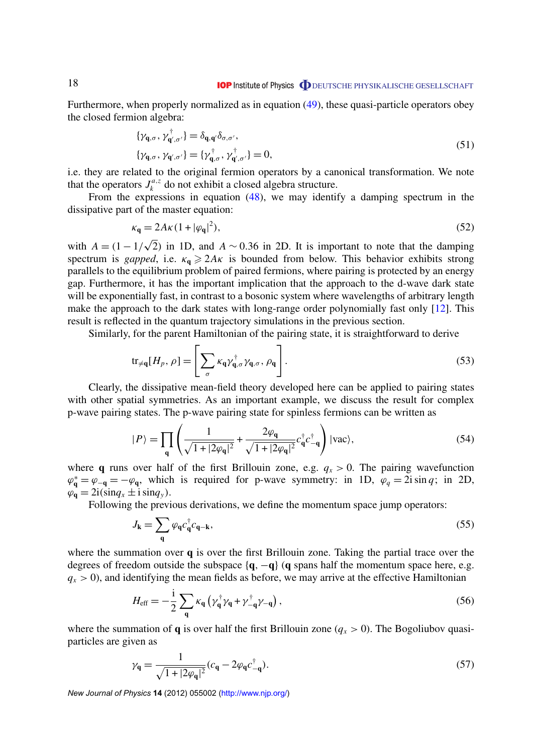<span id="page-18-0"></span>Furthermore, when properly normalized as in equation [\(49\)](#page-17-0), these quasi-particle operators obey the closed fermion algebra:

$$
\{\gamma_{\mathbf{q},\sigma},\gamma_{\mathbf{q}',\sigma'}^{\dagger}\} = \delta_{\mathbf{q},\mathbf{q}'}\delta_{\sigma,\sigma'},
$$
  

$$
\{\gamma_{\mathbf{q},\sigma},\gamma_{\mathbf{q}',\sigma'}\} = \{\gamma_{\mathbf{q},\sigma}^{\dagger},\gamma_{\mathbf{q}',\sigma'}^{\dagger}\} = 0,
$$
 (51)

i.e. they are related to the original fermion operators by a canonical transformation. We note that the operators  $J_k^{a,z}$  $\frac{a}{k}$  do not exhibit a closed algebra structure.

From the expressions in equation [\(48\)](#page-17-0), we may identify a damping spectrum in the dissipative part of the master equation:

$$
\kappa_{\mathbf{q}} = 2A\kappa (1 + |\varphi_{\mathbf{q}}|^2),\tag{52}
$$

with  $A = (1 - 1)$ 2) in 1D, and  $A \sim 0.36$  in 2D. It is important to note that the damping spectrum is *gapped*, i.e.  $\kappa_q \geq 2A\kappa$  is bounded from below. This behavior exhibits strong parallels to the equilibrium problem of paired fermions, where pairing is protected by an energy gap. Furthermore, it has the important implication that the approach to the d-wave dark state will be exponentially fast, in contrast to a bosonic system where wavelengths of arbitrary length make the approach to the dark states with long-range order polynomially fast only [\[12\]](#page-34-0). This result is reflected in the quantum trajectory simulations in the previous section.

Similarly, for the parent Hamiltonian of the pairing state, it is straightforward to derive

$$
\text{tr}_{\neq \mathbf{q}}[H_p, \rho] = \left[ \sum_{\sigma} \kappa_{\mathbf{q}} \gamma_{\mathbf{q}, \sigma}^{\dagger}, \gamma_{\mathbf{q}, \sigma}, \rho_{\mathbf{q}} \right]. \tag{53}
$$

Clearly, the dissipative mean-field theory developed here can be applied to pairing states with other spatial symmetries. As an important example, we discuss the result for complex p-wave pairing states. The p-wave pairing state for spinless fermions can be written as

$$
|P\rangle = \prod_{\mathbf{q}} \left( \frac{1}{\sqrt{1+|2\varphi_{\mathbf{q}}|^2}} + \frac{2\varphi_{\mathbf{q}}}{\sqrt{1+|2\varphi_{\mathbf{q}}|^2}} c_{\mathbf{q}}^\dagger c_{-\mathbf{q}}^\dagger \right) |\text{vac}\rangle, \tag{54}
$$

where **q** runs over half of the first Brillouin zone, e.g.  $q_x > 0$ . The pairing wavefunction  $\varphi_{\bf q}^* = \varphi_{\bf -q} = -\varphi_{\bf q}$ , which is required for p-wave symmetry: in 1D,  $\varphi_q = 2i \sin q$ ; in 2D,  $\varphi_{\bf q} = 2i(\sin q_x \pm i \sin q_y).$ 

Following the previous derivations, we define the momentum space jump operators:

$$
J_{\mathbf{k}} = \sum_{\mathbf{q}} \varphi_{\mathbf{q}} c_{\mathbf{q}}^{\dagger} c_{\mathbf{q} - \mathbf{k}},\tag{55}
$$

where the summation over **q** is over the first Brillouin zone. Taking the partial trace over the degrees of freedom outside the subspace {**q**, −**q**} (**q** spans half the momentum space here, e.g.  $q_x > 0$ ), and identifying the mean fields as before, we may arrive at the effective Hamiltonian

$$
H_{\rm eff} = -\frac{1}{2} \sum_{\mathbf{q}} \kappa_{\mathbf{q}} \left( \gamma_{\mathbf{q}}^{\dagger} \gamma_{\mathbf{q}} + \gamma_{-\mathbf{q}}^{\dagger} \gamma_{-\mathbf{q}} \right), \tag{56}
$$

where the summation of **q** is over half the first Brillouin zone ( $q_x > 0$ ). The Bogoliubov quasiparticles are given as

$$
\gamma_{\mathbf{q}} = \frac{1}{\sqrt{1 + |2\varphi_{\mathbf{q}}|^2}} (c_{\mathbf{q}} - 2\varphi_{\mathbf{q}} c_{-\mathbf{q}}^\dagger). \tag{57}
$$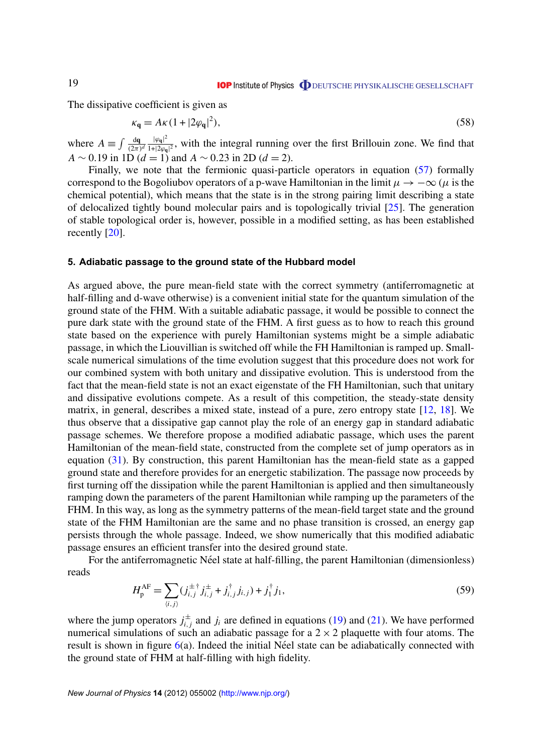<span id="page-19-0"></span>The dissipative coefficient is given as

$$
\kappa_{\mathbf{q}} = A\kappa (1 + |2\varphi_{\mathbf{q}}|^2),\tag{58}
$$

where  $A \equiv \int \frac{dq}{\sqrt{2\pi}}$  $\sqrt{(2\pi)^d}$  $|\varphi_{\bf q}|^2$  $\frac{|\varphi_{q}|}{1+|2\varphi_{q}|^2}$ , with the integral running over the first Brillouin zone. We find that  $A \sim 0.19$  in 1D ( $d = 1$ ) and  $A \sim 0.23$  in 2D ( $d = 2$ ).

Finally, we note that the fermionic quasi-particle operators in equation [\(57\)](#page-18-0) formally correspond to the Bogoliubov operators of a p-wave Hamiltonian in the limit  $\mu \to -\infty$  ( $\mu$  is the chemical potential), which means that the state is in the strong pairing limit describing a state of delocalized tightly bound molecular pairs and is topologically trivial [\[25\]](#page-34-0). The generation of stable topological order is, however, possible in a modified setting, as has been established recently [\[20\]](#page-34-0).

#### **5. Adiabatic passage to the ground state of the Hubbard model**

As argued above, the pure mean-field state with the correct symmetry (antiferromagnetic at half-filling and d-wave otherwise) is a convenient initial state for the quantum simulation of the ground state of the FHM. With a suitable adiabatic passage, it would be possible to connect the pure dark state with the ground state of the FHM. A first guess as to how to reach this ground state based on the experience with purely Hamiltonian systems might be a simple adiabatic passage, in which the Liouvillian is switched off while the FH Hamiltonian is ramped up. Smallscale numerical simulations of the time evolution suggest that this procedure does not work for our combined system with both unitary and dissipative evolution. This is understood from the fact that the mean-field state is not an exact eigenstate of the FH Hamiltonian, such that unitary and dissipative evolutions compete. As a result of this competition, the steady-state density matrix, in general, describes a mixed state, instead of a pure, zero entropy state [\[12,](#page-34-0) [18\]](#page-34-0). We thus observe that a dissipative gap cannot play the role of an energy gap in standard adiabatic passage schemes. We therefore propose a modified adiabatic passage, which uses the parent Hamiltonian of the mean-field state, constructed from the complete set of jump operators as in equation [\(31\)](#page-11-0). By construction, this parent Hamiltonian has the mean-field state as a gapped ground state and therefore provides for an energetic stabilization. The passage now proceeds by first turning off the dissipation while the parent Hamiltonian is applied and then simultaneously ramping down the parameters of the parent Hamiltonian while ramping up the parameters of the FHM. In this way, as long as the symmetry patterns of the mean-field target state and the ground state of the FHM Hamiltonian are the same and no phase transition is crossed, an energy gap persists through the whole passage. Indeed, we show numerically that this modified adiabatic passage ensures an efficient transfer into the desired ground state.

For the antiferromagnetic Néel state at half-filling, the parent Hamiltonian (dimensionless) reads

$$
H_{\mathbf{p}}^{\mathbf{A}\mathbf{F}} = \sum_{\langle i,j \rangle} (j_{i,j}^{\pm \dagger} j_{i,j}^{\pm} + j_{i,j}^{\dagger} j_{i,j}) + j_1^{\dagger} j_1, \tag{59}
$$

where the jump operators  $j_{i}^{\pm}$  $i,j$ <sub>*i,j*</sub> and *j<sub>i</sub>* are defined in equations [\(19\)](#page-8-0) and [\(21\)](#page-9-0). We have performed numerical simulations of such an adiabatic passage for a  $2 \times 2$  plaquette with four atoms. The result is shown in figure  $6(a)$  $6(a)$ . Indeed the initial Néel state can be adiabatically connected with the ground state of FHM at half-filling with high fidelity.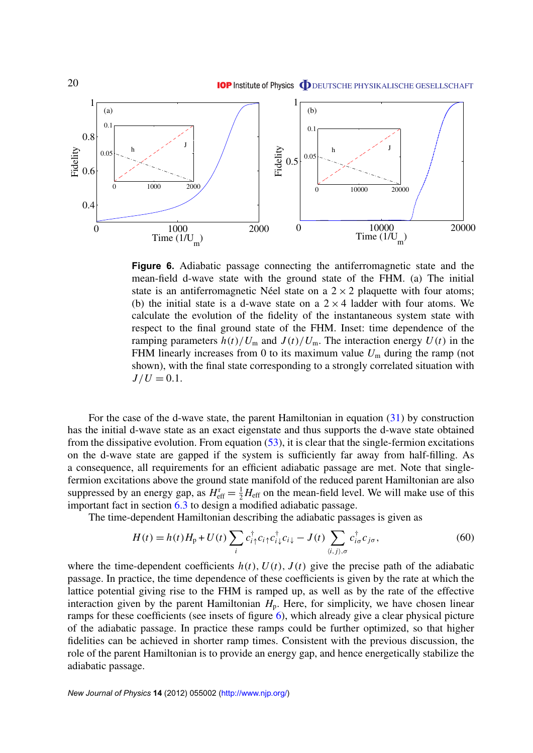<span id="page-20-0"></span>

**Figure 6.** Adiabatic passage connecting the antiferromagnetic state and the mean-field d-wave state with the ground state of the FHM. (a) The initial state is an antiferromagnetic Néel state on a  $2 \times 2$  plaquette with four atoms; (b) the initial state is a d-wave state on a  $2 \times 4$  ladder with four atoms. We calculate the evolution of the fidelity of the instantaneous system state with respect to the final ground state of the FHM. Inset: time dependence of the ramping parameters  $h(t)/U_m$  and  $J(t)/U_m$ . The interaction energy  $U(t)$  in the FHM linearly increases from 0 to its maximum value  $U_m$  during the ramp (not shown), with the final state corresponding to a strongly correlated situation with  $J/U = 0.1$ .

For the case of the d-wave state, the parent Hamiltonian in equation [\(31\)](#page-11-0) by construction has the initial d-wave state as an exact eigenstate and thus supports the d-wave state obtained from the dissipative evolution. From equation [\(53\)](#page-18-0), it is clear that the single-fermion excitations on the d-wave state are gapped if the system is sufficiently far away from half-filling. As a consequence, all requirements for an efficient adiabatic passage are met. Note that singlefermion excitations above the ground state manifold of the reduced parent Hamiltonian are also suppressed by an energy gap, as  $H_{\text{eff}}^r = \frac{1}{2} H_{\text{eff}}$  on the mean-field level. We will make use of this important fact in section [6.3](#page-24-0) to design a modified adiabatic passage.

The time-dependent Hamiltonian describing the adiabatic passages is given as

$$
H(t) = h(t)H_{\mathfrak{p}} + U(t) \sum_{i} c_{i\uparrow}^{\dagger} c_{i\uparrow} c_{i\downarrow}^{\dagger} c_{i\downarrow} - J(t) \sum_{\langle i,j\rangle,\sigma} c_{i\sigma}^{\dagger} c_{j\sigma},\tag{60}
$$

where the time-dependent coefficients  $h(t)$ ,  $U(t)$ ,  $J(t)$  give the precise path of the adiabatic passage. In practice, the time dependence of these coefficients is given by the rate at which the lattice potential giving rise to the FHM is ramped up, as well as by the rate of the effective interaction given by the parent Hamiltonian  $H<sub>p</sub>$ . Here, for simplicity, we have chosen linear ramps for these coefficients (see insets of figure 6), which already give a clear physical picture of the adiabatic passage. In practice these ramps could be further optimized, so that higher fidelities can be achieved in shorter ramp times. Consistent with the previous discussion, the role of the parent Hamiltonian is to provide an energy gap, and hence energetically stabilize the adiabatic passage.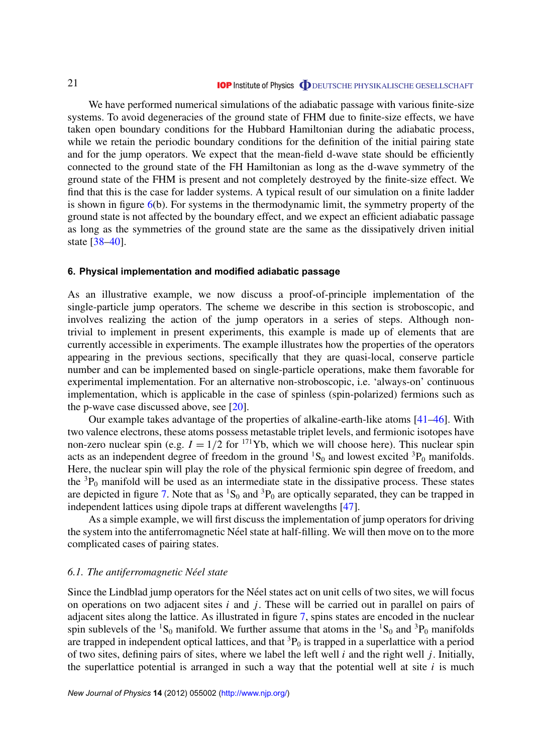<span id="page-21-0"></span>We have performed numerical simulations of the adiabatic passage with various finite-size systems. To avoid degeneracies of the ground state of FHM due to finite-size effects, we have taken open boundary conditions for the Hubbard Hamiltonian during the adiabatic process, while we retain the periodic boundary conditions for the definition of the initial pairing state and for the jump operators. We expect that the mean-field d-wave state should be efficiently connected to the ground state of the FH Hamiltonian as long as the d-wave symmetry of the ground state of the FHM is present and not completely destroyed by the finite-size effect. We find that this is the case for ladder systems. A typical result of our simulation on a finite ladder is shown in figure [6\(](#page-20-0)b). For systems in the thermodynamic limit, the symmetry property of the ground state is not affected by the boundary effect, and we expect an efficient adiabatic passage as long as the symmetries of the ground state are the same as the dissipatively driven initial state [\[38–40\]](#page-35-0).

#### **6. Physical implementation and modified adiabatic passage**

As an illustrative example, we now discuss a proof-of-principle implementation of the single-particle jump operators. The scheme we describe in this section is stroboscopic, and involves realizing the action of the jump operators in a series of steps. Although nontrivial to implement in present experiments, this example is made up of elements that are currently accessible in experiments. The example illustrates how the properties of the operators appearing in the previous sections, specifically that they are quasi-local, conserve particle number and can be implemented based on single-particle operations, make them favorable for experimental implementation. For an alternative non-stroboscopic, i.e. 'always-on' continuous implementation, which is applicable in the case of spinless (spin-polarized) fermions such as the p-wave case discussed above, see [\[20\]](#page-34-0).

Our example takes advantage of the properties of alkaline-earth-like atoms [\[41–46\]](#page-35-0). With two valence electrons, these atoms possess metastable triplet levels, and fermionic isotopes have non-zero nuclear spin (e.g.  $I = 1/2$  for <sup>171</sup>Yb, which we will choose here). This nuclear spin acts as an independent degree of freedom in the ground  ${}^{1}S_{0}$  and lowest excited  ${}^{3}P_{0}$  manifolds. Here, the nuclear spin will play the role of the physical fermionic spin degree of freedom, and the  ${}^{3}P_{0}$  manifold will be used as an intermediate state in the dissipative process. These states are depicted in figure [7.](#page-22-0) Note that as  ${}^{1}S_{0}$  and  ${}^{3}P_{0}$  are optically separated, they can be trapped in independent lattices using dipole traps at different wavelengths [\[47\]](#page-35-0).

As a simple example, we will first discuss the implementation of jump operators for driving the system into the antiferromagnetic Néel state at half-filling. We will then move on to the more complicated cases of pairing states.

#### *6.1. The antiferromagnetic Neel state ´*

Since the Lindblad jump operators for the Néel states act on unit cells of two sites, we will focus on operations on two adjacent sites *i* and *j*. These will be carried out in parallel on pairs of adjacent sites along the lattice. As illustrated in figure [7,](#page-22-0) spins states are encoded in the nuclear spin sublevels of the <sup>1</sup>S<sub>0</sub> manifold. We further assume that atoms in the <sup>1</sup>S<sub>0</sub> and <sup>3</sup>P<sub>0</sub> manifolds are trapped in independent optical lattices, and that  ${}^{3}P_{0}$  is trapped in a superlattice with a period of two sites, defining pairs of sites, where we label the left well *i* and the right well *j*. Initially, the superlattice potential is arranged in such a way that the potential well at site  $i$  is much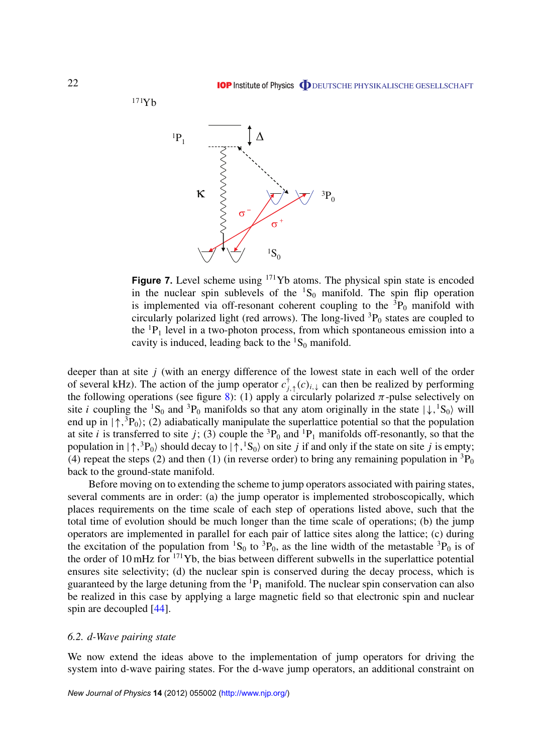<span id="page-22-0"></span>

**Figure 7.** Level scheme using <sup>171</sup>Yb atoms. The physical spin state is encoded in the nuclear spin sublevels of the  ${}^{1}S_{0}$  manifold. The spin flip operation is implemented via off-resonant coherent coupling to the  ${}^{3}P_0$  manifold with circularly polarized light (red arrows). The long-lived  ${}^{3}P_{0}$  states are coupled to the  ${}^{1}P_{1}$  level in a two-photon process, from which spontaneous emission into a cavity is induced, leading back to the  ${}^{1}S_{0}$  manifold.

deeper than at site *j* (with an energy difference of the lowest state in each well of the order of several kHz). The action of the jump operator  $c_{j,\uparrow}^{\dagger}(c)_{i,\downarrow}$  can then be realized by performing the following operations (see figure [8\)](#page-23-0): (1) apply a circularly polarized  $\pi$ -pulse selectively on site *i* coupling the <sup>1</sup>S<sub>0</sub> and <sup>3</sup>P<sub>0</sub> manifolds so that any atom originally in the state  $|\downarrow,$ <sup>1</sup>S<sub>0</sub> $\rangle$  will end up in  $|\uparrow, \frac{3}{2}P_0\rangle$ ; (2) adiabatically manipulate the superlattice potential so that the population at site *i* is transferred to site *j*; (3) couple the  ${}^{3}P_{0}$  and  ${}^{1}P_{1}$  manifolds off-resonantly, so that the population in  $|\uparrow, {}^3P_0\rangle$  should decay to  $|\uparrow, {}^1S_0\rangle$  on site *j* if and only if the state on site *j* is empty; (4) repeat the steps (2) and then (1) (in reverse order) to bring any remaining population in  ${}^{3}P_{0}$ back to the ground-state manifold.

Before moving on to extending the scheme to jump operators associated with pairing states, several comments are in order: (a) the jump operator is implemented stroboscopically, which places requirements on the time scale of each step of operations listed above, such that the total time of evolution should be much longer than the time scale of operations; (b) the jump operators are implemented in parallel for each pair of lattice sites along the lattice; (c) during the excitation of the population from <sup>1</sup>S<sub>0</sub> to <sup>3</sup>P<sub>0</sub>, as the line width of the metastable <sup>3</sup>P<sub>0</sub> is of the order of 10 mHz for <sup>171</sup>Yb, the bias between different subwells in the superlattice potential ensures site selectivity; (d) the nuclear spin is conserved during the decay process, which is guaranteed by the large detuning from the  ${}^{1}P_1$  manifold. The nuclear spin conservation can also be realized in this case by applying a large magnetic field so that electronic spin and nuclear spin are decoupled [\[44\]](#page-35-0).

#### *6.2. d-Wave pairing state*

We now extend the ideas above to the implementation of jump operators for driving the system into d-wave pairing states. For the d-wave jump operators, an additional constraint on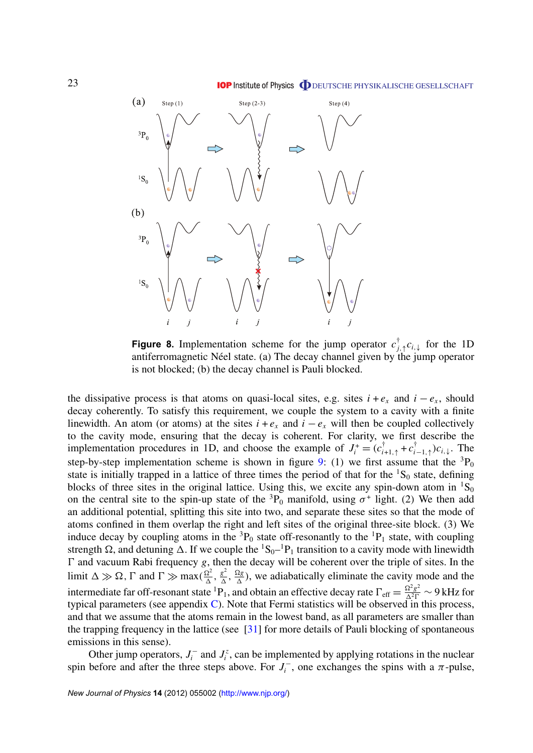<span id="page-23-0"></span>

**Figure 8.** Implementation scheme for the jump operator  $c_{j, \uparrow}^{\dagger} c_{i, \downarrow}$  for the 1D antiferromagnetic Néel state. (a) The decay channel given by the jump operator is not blocked; (b) the decay channel is Pauli blocked.

the dissipative process is that atoms on quasi-local sites, e.g. sites  $i + e_x$  and  $i - e_x$ , should decay coherently. To satisfy this requirement, we couple the system to a cavity with a finite linewidth. An atom (or atoms) at the sites  $i + e_x$  and  $i - e_x$  will then be coupled collectively to the cavity mode, ensuring that the decay is coherent. For clarity, we first describe the implementation procedures in 1D, and choose the example of  $J_i^+ = (c_{i+1,\uparrow}^{\dagger} + c_{i-1,\uparrow}^{\dagger})c_{i,\downarrow}$ . The step-by-step implementation scheme is shown in figure [9:](#page-24-0) (1) we first assume that the  ${}^{3}P_{0}$ state is initially trapped in a lattice of three times the period of that for the  ${}^{1}S_{0}$  state, defining blocks of three sites in the original lattice. Using this, we excite any spin-down atom in  ${}^{1}S_{0}$ on the central site to the spin-up state of the  ${}^{3}P_{0}$  manifold, using  $\sigma^{+}$  light. (2) We then add an additional potential, splitting this site into two, and separate these sites so that the mode of atoms confined in them overlap the right and left sites of the original three-site block. (3) We induce decay by coupling atoms in the  ${}^{3}P_0$  state off-resonantly to the  ${}^{1}P_1$  state, with coupling strength  $\Omega$ , and detuning  $\Delta$ . If we couple the <sup>1</sup>S<sub>0</sub><sup>-1</sup>P<sub>1</sub> transition to a cavity mode with linewidth  $\Gamma$  and vacuum Rabi frequency  $g$ , then the decay will be coherent over the triple of sites. In the limit  $\Delta \gg \Omega$ ,  $\Gamma$  and  $\Gamma \gg \max(\frac{\Omega^2}{\Delta})$  $\frac{\Omega^2}{\Delta}$ ,  $\frac{g^2}{\Delta}$  $\frac{g^2}{\Delta}$ ,  $\frac{\Omega g}{\Delta}$  $\frac{\log n}{\Delta}$ ), we adiabatically eliminate the cavity mode and the intermediate far off-resonant state <sup>1</sup>P<sub>1</sub>, and obtain an effective decay rate  $\Gamma_{\text{eff}} = \frac{\Omega^2 g^2}{\Delta^2 \Gamma} \sim 9$  kHz for typical parameters (see appendix [C\)](#page-32-0). Note that Fermi statistics will be observed in this process, and that we assume that the atoms remain in the lowest band, as all parameters are smaller than the trapping frequency in the lattice (see [\[31\]](#page-34-0) for more details of Pauli blocking of spontaneous emissions in this sense).

Other jump operators,  $J_i^ J_i^2$  and  $J_i^z$  $\mathbf{z}^{\tau}$ , can be implemented by applying rotations in the nuclear spin before and after the three steps above. For  $J_i^ \tau_i^-$ , one exchanges the spins with a  $\pi$ -pulse,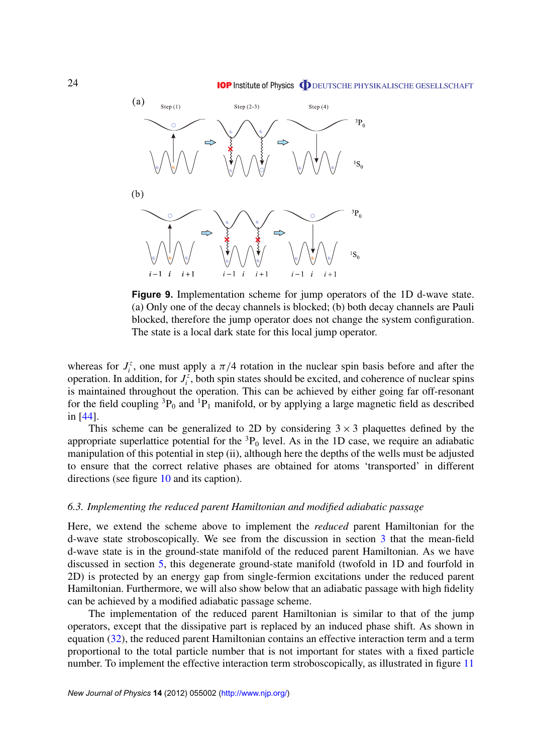<span id="page-24-0"></span>

**Figure 9.** Implementation scheme for jump operators of the 1D d-wave state. (a) Only one of the decay channels is blocked; (b) both decay channels are Pauli blocked, therefore the jump operator does not change the system configuration. The state is a local dark state for this local jump operator.

whereas for  $J_i^z$  $\tau_i$ , one must apply a  $\pi/4$  rotation in the nuclear spin basis before and after the operation. In addition, for  $J_i^z$  $\mathbf{z}^{\tau}$ , both spin states should be excited, and coherence of nuclear spins is maintained throughout the operation. This can be achieved by either going far off-resonant for the field coupling  ${}^{3}P_0$  and  ${}^{1}P_1$  manifold, or by applying a large magnetic field as described in [\[44\]](#page-35-0).

This scheme can be generalized to 2D by considering  $3 \times 3$  plaquettes defined by the appropriate superlattice potential for the  ${}^{3}P_{0}$  level. As in the 1D case, we require an adiabatic manipulation of this potential in step (ii), although here the depths of the wells must be adjusted to ensure that the correct relative phases are obtained for atoms 'transported' in different directions (see figure [10](#page-25-0) and its caption).

#### *6.3. Implementing the reduced parent Hamiltonian and modified adiabatic passage*

Here, we extend the scheme above to implement the *reduced* parent Hamiltonian for the d-wave state stroboscopically. We see from the discussion in section [3](#page-11-0) that the mean-field d-wave state is in the ground-state manifold of the reduced parent Hamiltonian. As we have discussed in section [5,](#page-19-0) this degenerate ground-state manifold (twofold in 1D and fourfold in 2D) is protected by an energy gap from single-fermion excitations under the reduced parent Hamiltonian. Furthermore, we will also show below that an adiabatic passage with high fidelity can be achieved by a modified adiabatic passage scheme.

The implementation of the reduced parent Hamiltonian is similar to that of the jump operators, except that the dissipative part is replaced by an induced phase shift. As shown in equation [\(32\)](#page-12-0), the reduced parent Hamiltonian contains an effective interaction term and a term proportional to the total particle number that is not important for states with a fixed particle number. To implement the effective interaction term stroboscopically, as illustrated in figure [11](#page-25-0)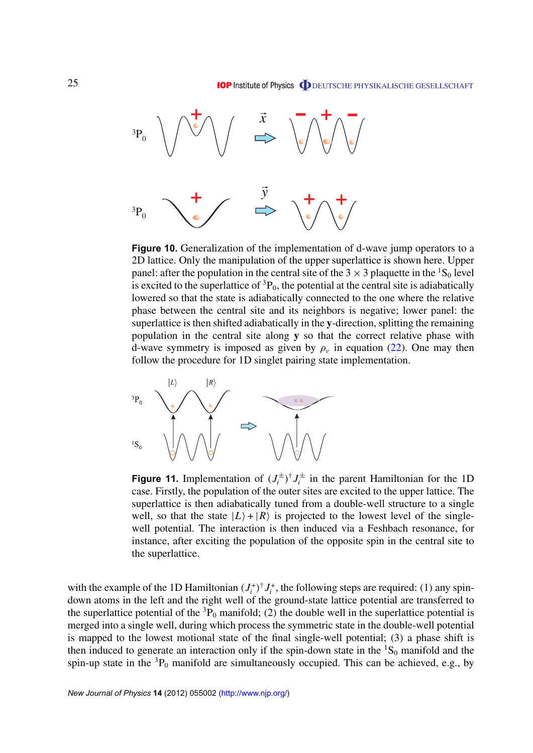<span id="page-25-0"></span>

**Figure 10.** Generalization of the implementation of d-wave jump operators to a 2D lattice. Only the manipulation of the upper superlattice is shown here. Upper panel: after the population in the central site of the  $3 \times 3$  plaquette in the  ${}^{1}S_{0}$  level is excited to the superlattice of  ${}^{3}P_0$ , the potential at the central site is adiabatically lowered so that the state is adiabatically connected to the one where the relative phase between the central site and its neighbors is negative; lower panel: the superlattice is then shifted adiabatically in the **y**-direction, splitting the remaining population in the central site along **y** so that the correct relative phase with d-wave symmetry is imposed as given by  $\rho_{\nu}$  in equation [\(22\)](#page-9-0). One may then follow the procedure for 1D singlet pairing state implementation.



**Figure 11.** Implementation of  $(J_i^{\pm})$  $J_i^{\pm}$ <sup>+</sup> $J_i^{\pm}$  $i^{\pm}$  in the parent Hamiltonian for the 1D case. Firstly, the population of the outer sites are excited to the upper lattice. The superlattice is then adiabatically tuned from a double-well structure to a single well, so that the state  $|L\rangle + |R\rangle$  is projected to the lowest level of the singlewell potential. The interaction is then induced via a Feshbach resonance, for instance, after exciting the population of the opposite spin in the central site to the superlattice.

with the example of the 1D Hamiltonian  $(J_i^+)^{\dagger} J_i^+$ , the following steps are required: (1) any spindown atoms in the left and the right well of the ground-state lattice potential are transferred to the superlattice potential of the  ${}^{3}P_0$  manifold; (2) the double well in the superlattice potential is merged into a single well, during which process the symmetric state in the double-well potential is mapped to the lowest motional state of the final single-well potential; (3) a phase shift is then induced to generate an interaction only if the spin-down state in the  ${}^{1}S_{0}$  manifold and the spin-up state in the  ${}^{3}P_0$  manifold are simultaneously occupied. This can be achieved, e.g., by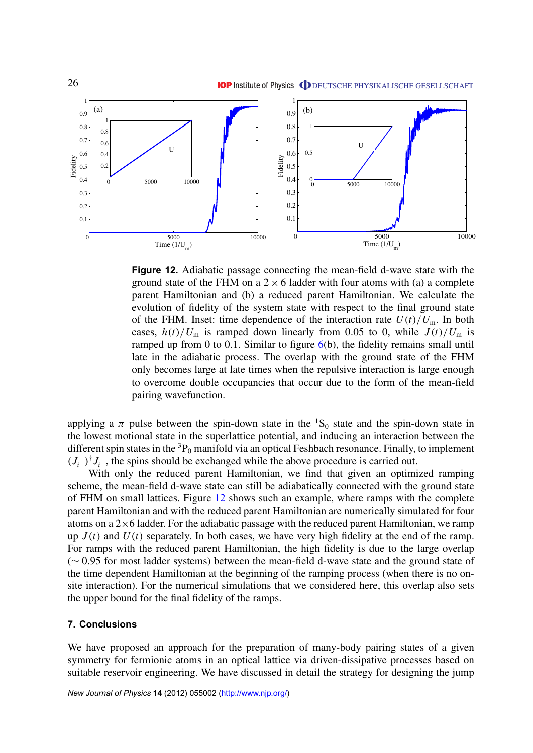<span id="page-26-0"></span>

**Figure 12.** Adiabatic passage connecting the mean-field d-wave state with the ground state of the FHM on a  $2 \times 6$  ladder with four atoms with (a) a complete parent Hamiltonian and (b) a reduced parent Hamiltonian. We calculate the evolution of fidelity of the system state with respect to the final ground state of the FHM. Inset: time dependence of the interaction rate  $U(t)/U_m$ . In both cases,  $h(t)/U_m$  is ramped down linearly from 0.05 to 0, while  $J(t)/U_m$  is ramped up from 0 to 0.1. Similar to figure  $6(b)$  $6(b)$ , the fidelity remains small until late in the adiabatic process. The overlap with the ground state of the FHM only becomes large at late times when the repulsive interaction is large enough to overcome double occupancies that occur due to the form of the mean-field pairing wavefunction.

applying a  $\pi$  pulse between the spin-down state in the <sup>1</sup>S<sub>0</sub> state and the spin-down state in the lowest motional state in the superlattice potential, and inducing an interaction between the different spin states in the  ${}^{3}P_0$  manifold via an optical Feshbach resonance. Finally, to implement  $(J_i^-)$  $\int_{i}^{-}$ <sup>+</sup> $J_i^{-}$ *i* , the spins should be exchanged while the above procedure is carried out.

With only the reduced parent Hamiltonian, we find that given an optimized ramping scheme, the mean-field d-wave state can still be adiabatically connected with the ground state of FHM on small lattices. Figure 12 shows such an example, where ramps with the complete parent Hamiltonian and with the reduced parent Hamiltonian are numerically simulated for four atoms on a  $2\times 6$  ladder. For the adiabatic passage with the reduced parent Hamiltonian, we ramp up  $J(t)$  and  $U(t)$  separately. In both cases, we have very high fidelity at the end of the ramp. For ramps with the reduced parent Hamiltonian, the high fidelity is due to the large overlap (∼ 0.95 for most ladder systems) between the mean-field d-wave state and the ground state of the time dependent Hamiltonian at the beginning of the ramping process (when there is no onsite interaction). For the numerical simulations that we considered here, this overlap also sets the upper bound for the final fidelity of the ramps.

#### **7. Conclusions**

We have proposed an approach for the preparation of many-body pairing states of a given symmetry for fermionic atoms in an optical lattice via driven-dissipative processes based on suitable reservoir engineering. We have discussed in detail the strategy for designing the jump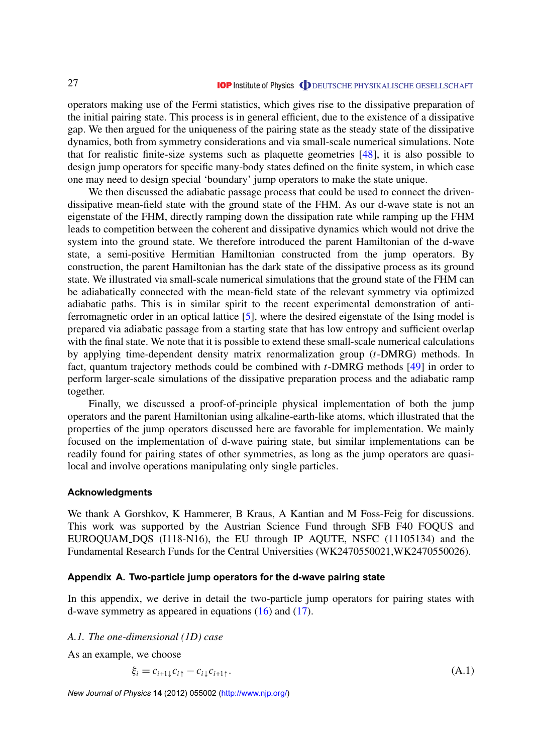<span id="page-27-0"></span>operators making use of the Fermi statistics, which gives rise to the dissipative preparation of the initial pairing state. This process is in general efficient, due to the existence of a dissipative gap. We then argued for the uniqueness of the pairing state as the steady state of the dissipative dynamics, both from symmetry considerations and via small-scale numerical simulations. Note that for realistic finite-size systems such as plaquette geometries [\[48\]](#page-35-0), it is also possible to design jump operators for specific many-body states defined on the finite system, in which case one may need to design special 'boundary' jump operators to make the state unique.

We then discussed the adiabatic passage process that could be used to connect the drivendissipative mean-field state with the ground state of the FHM. As our d-wave state is not an eigenstate of the FHM, directly ramping down the dissipation rate while ramping up the FHM leads to competition between the coherent and dissipative dynamics which would not drive the system into the ground state. We therefore introduced the parent Hamiltonian of the d-wave state, a semi-positive Hermitian Hamiltonian constructed from the jump operators. By construction, the parent Hamiltonian has the dark state of the dissipative process as its ground state. We illustrated via small-scale numerical simulations that the ground state of the FHM can be adiabatically connected with the mean-field state of the relevant symmetry via optimized adiabatic paths. This is in similar spirit to the recent experimental demonstration of antiferromagnetic order in an optical lattice [\[5\]](#page-34-0), where the desired eigenstate of the Ising model is prepared via adiabatic passage from a starting state that has low entropy and sufficient overlap with the final state. We note that it is possible to extend these small-scale numerical calculations by applying time-dependent density matrix renormalization group (*t*-DMRG) methods. In fact, quantum trajectory methods could be combined with *t*-DMRG methods [\[49\]](#page-35-0) in order to perform larger-scale simulations of the dissipative preparation process and the adiabatic ramp together.

Finally, we discussed a proof-of-principle physical implementation of both the jump operators and the parent Hamiltonian using alkaline-earth-like atoms, which illustrated that the properties of the jump operators discussed here are favorable for implementation. We mainly focused on the implementation of d-wave pairing state, but similar implementations can be readily found for pairing states of other symmetries, as long as the jump operators are quasilocal and involve operations manipulating only single particles.

#### **Acknowledgments**

We thank A Gorshkov, K Hammerer, B Kraus, A Kantian and M Foss-Feig for discussions. This work was supported by the Austrian Science Fund through SFB F40 FOQUS and EUROQUAM DQS (I118-N16), the EU through IP AQUTE, NSFC (11105134) and the Fundamental Research Funds for the Central Universities (WK2470550021,WK2470550026).

#### **Appendix A. Two-particle jump operators for the d-wave pairing state**

In this appendix, we derive in detail the two-particle jump operators for pairing states with d-wave symmetry as appeared in equations [\(16\)](#page-7-0) and [\(17\)](#page-7-0).

#### *A.1. The one-dimensional (1D) case*

As an example, we choose

$$
\xi_i = c_{i+1\downarrow}c_{i\uparrow} - c_{i\downarrow}c_{i+1\uparrow}.\tag{A.1}
$$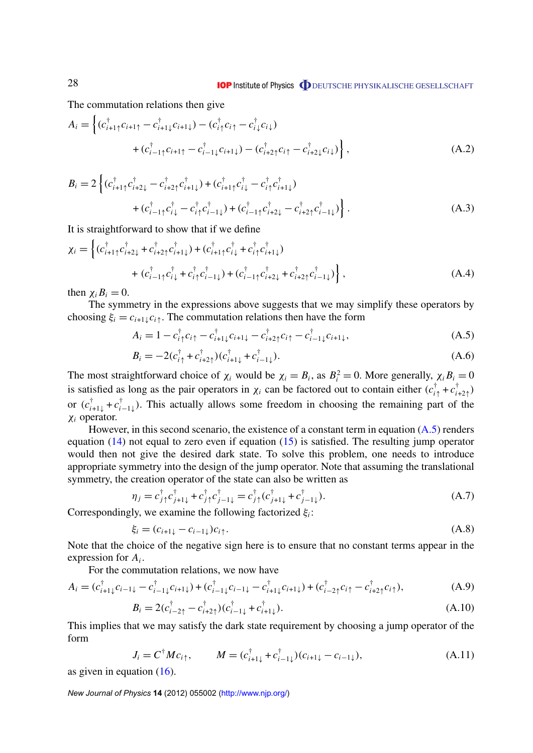The commutation relations then give

$$
A_{i} = \left\{ (c_{i+1\uparrow}^{\dagger} c_{i+1\uparrow} - c_{i+1\downarrow}^{\dagger} c_{i+1\downarrow}) - (c_{i\uparrow}^{\dagger} c_{i\uparrow} - c_{i\downarrow}^{\dagger} c_{i\downarrow}) + (c_{i-1\uparrow}^{\dagger} c_{i+1\uparrow} - c_{i-1\downarrow}^{\dagger} c_{i+1\downarrow}) - (c_{i+2\uparrow}^{\dagger} c_{i\uparrow} - c_{i+2\downarrow}^{\dagger} c_{i\downarrow}) \right\},
$$
\n(A.2)

$$
B_{i} = 2\left\{ (c_{i+1\uparrow}^{\dagger} c_{i+2\downarrow}^{\dagger} - c_{i+2\uparrow}^{\dagger} c_{i+1\downarrow}^{\dagger}) + (c_{i+1\uparrow}^{\dagger} c_{i\downarrow}^{\dagger} - c_{i\uparrow}^{\dagger} c_{i+1\downarrow}^{\dagger}) + (c_{i-1\uparrow}^{\dagger} c_{i+2\downarrow}^{\dagger} - c_{i+2\uparrow}^{\dagger} c_{i-1\downarrow}^{\dagger}) \right\}.
$$
\n(A.3)

It is straightforward to show that if we define

$$
\chi_{i} = \left\{ (c_{i+1\uparrow}^{\dagger} c_{i+2\downarrow}^{\dagger} + c_{i+2\uparrow}^{\dagger} c_{i+1\downarrow}^{\dagger}) + (c_{i+1\uparrow}^{\dagger} c_{i\downarrow}^{\dagger} + c_{i\uparrow}^{\dagger} c_{i+1\downarrow}^{\dagger}) + (c_{i-1\uparrow}^{\dagger} c_{i\downarrow}^{\dagger} + c_{i\uparrow}^{\dagger} c_{i-1\downarrow}^{\dagger}) + (c_{i-1\uparrow}^{\dagger} c_{i+2\downarrow}^{\dagger} + c_{i+2\uparrow}^{\dagger} c_{i-1\downarrow}^{\dagger}) \right\},
$$
\n(A.4)

then  $\chi_i B_i = 0$ .

The symmetry in the expressions above suggests that we may simplify these operators by choosing  $\xi_i = c_{i+1\downarrow} c_{i\uparrow}$ . The commutation relations then have the form

$$
A_i = 1 - c_{i\uparrow}^{\dagger} c_{i\uparrow} - c_{i+1\downarrow}^{\dagger} c_{i+1\downarrow} - c_{i+2\uparrow}^{\dagger} c_{i\uparrow} - c_{i-1\downarrow}^{\dagger} c_{i+1\downarrow}, \tag{A.5}
$$

$$
B_i = -2(c_{i\uparrow}^{\dagger} + c_{i+2\uparrow}^{\dagger})(c_{i+1\downarrow}^{\dagger} + c_{i-1\downarrow}^{\dagger}).
$$
\n(A.6)

The most straightforward choice of  $\chi_i$  would be  $\chi_i = B_i$ , as  $B_i^2 = 0$ . More generally,  $\chi_i B_i = 0$ is satisfied as long as the pair operators in  $\chi_i$  can be factored out to contain either  $(c_{i\uparrow}^{\dagger} + c_{i+2\uparrow}^{\dagger})$ or  $(c_{i+1\downarrow}^{\dagger}+c_{i-1\downarrow}^{\dagger})$ . This actually allows some freedom in choosing the remaining part of the χ*<sup>i</sup>* operator.

However, in this second scenario, the existence of a constant term in equation  $(A.5)$  renders equation  $(14)$  not equal to zero even if equation  $(15)$  is satisfied. The resulting jump operator would then not give the desired dark state. To solve this problem, one needs to introduce appropriate symmetry into the design of the jump operator. Note that assuming the translational symmetry, the creation operator of the state can also be written as

$$
\eta_j = c_{j\uparrow}^\dagger c_{j+1\downarrow}^\dagger + c_{j\uparrow}^\dagger c_{j-1\downarrow}^\dagger = c_{j\uparrow}^\dagger (c_{j+1\downarrow}^\dagger + c_{j-1\downarrow}^\dagger). \tag{A.7}
$$

Correspondingly, we examine the following factorized ξ*<sup>i</sup>* :

$$
\xi_i = (c_{i+1\downarrow} - c_{i-1\downarrow})c_{i\uparrow}.
$$
\n(A.8)

Note that the choice of the negative sign here is to ensure that no constant terms appear in the expression for *A<sup>i</sup>* .

For the commutation relations, we now have

$$
A_{i} = (c_{i+1\downarrow}^{\dagger} c_{i-1\downarrow} - c_{i-1\downarrow}^{\dagger} c_{i+1\downarrow}) + (c_{i-1\downarrow}^{\dagger} c_{i-1\downarrow} - c_{i+1\downarrow}^{\dagger} c_{i+1\downarrow}) + (c_{i-2\uparrow}^{\dagger} c_{i\uparrow} - c_{i+2\uparrow}^{\dagger} c_{i\uparrow}), \tag{A.9}
$$

$$
B_i = 2(c_{i-2\uparrow}^{\dagger} - c_{i+2\uparrow}^{\dagger})(c_{i-1\downarrow}^{\dagger} + c_{i+1\downarrow}^{\dagger}).
$$
\n(A.10)

This implies that we may satisfy the dark state requirement by choosing a jump operator of the form

$$
J_i = C^{\dagger} M c_{i\uparrow}, \qquad M = (c_{i+1\downarrow}^{\dagger} + c_{i-1\downarrow}^{\dagger}) (c_{i+1\downarrow} - c_{i-1\downarrow}), \qquad (A.11)
$$

as given in equation  $(16)$ .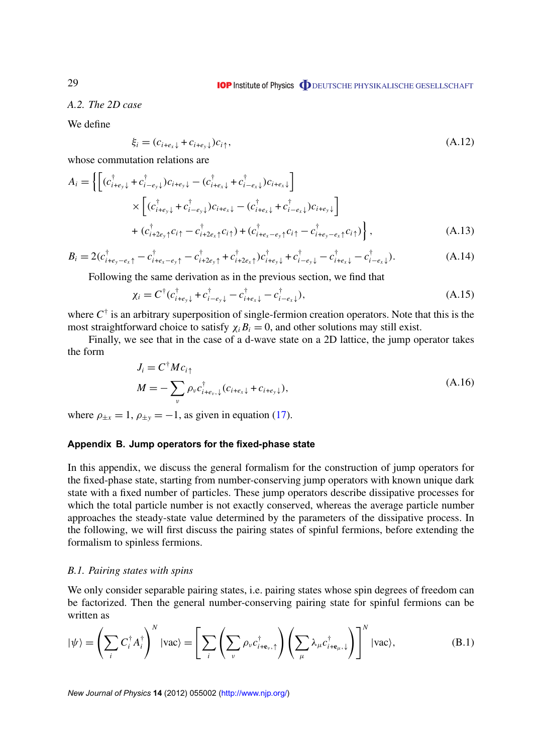#### <span id="page-29-0"></span>*A.2. The 2D case*

We define

$$
\xi_i = (c_{i+e_x} + c_{i+e_y})c_{i\uparrow},\tag{A.12}
$$

whose commutation relations are

$$
A_{i} = \left\{ \left[ (c_{i+e_y\downarrow}^{\dagger} + c_{i-e_y\downarrow}^{\dagger})c_{i+e_y\downarrow} - (c_{i+e_x\downarrow}^{\dagger} + c_{i-e_x\downarrow}^{\dagger})c_{i+e_x\downarrow} \right] \times \left[ (c_{i+e_y\downarrow}^{\dagger} + c_{i-e_y\downarrow}^{\dagger})c_{i+e_x\downarrow} - (c_{i+e_x\downarrow}^{\dagger} + c_{i-e_x\downarrow}^{\dagger})c_{i+e_y\downarrow} \right] \times \left[ (c_{i+2e_y\uparrow}^{\dagger}c_{i\uparrow} - c_{i+2e_x\uparrow}^{\dagger}c_{i\uparrow}) + (c_{i+e_x-e_y\uparrow}^{\dagger}c_{i\uparrow} - c_{i+e_y-e_x\uparrow}^{\dagger}c_{i\uparrow}) \right], \tag{A.13}
$$

$$
B_i = 2(c_{i+e_y-e_x\uparrow}^{\dagger} - c_{i+e_x-e_y\uparrow}^{\dagger} - c_{i+2e_y\uparrow}^{\dagger} + c_{i+2e_x\uparrow}^{\dagger})c_{i+e_y\downarrow}^{\dagger} + c_{i-e_y\downarrow}^{\dagger} - c_{i+e_x\downarrow}^{\dagger} - c_{i-e_x\downarrow}^{\dagger}). \tag{A.14}
$$

Following the same derivation as in the previous section, we find that

$$
\chi_i = C^{\dagger} (c_{i+e_y \downarrow}^{\dagger} + c_{i-e_y \downarrow}^{\dagger} - c_{i+e_x \downarrow}^{\dagger} - c_{i-e_x \downarrow}^{\dagger}), \tag{A.15}
$$

where  $C^{\dagger}$  is an arbitrary superposition of single-fermion creation operators. Note that this is the most straightforward choice to satisfy  $\chi_i B_i = 0$ , and other solutions may still exist.

Finally, we see that in the case of a d-wave state on a 2D lattice, the jump operator takes the form

$$
J_i = C^{\dagger} M c_{i\uparrow}
$$
  

$$
M = -\sum_{\nu} \rho_{\nu} c_{i+e_{\nu},\downarrow}^{\dagger} (c_{i+e_{\nu}\downarrow} + c_{i+e_{\nu}\downarrow}),
$$
 (A.16)

where  $\rho_{\pm x} = 1$ ,  $\rho_{\pm y} = -1$ , as given in equation [\(17\)](#page-7-0).

#### **Appendix B. Jump operators for the fixed-phase state**

In this appendix, we discuss the general formalism for the construction of jump operators for the fixed-phase state, starting from number-conserving jump operators with known unique dark state with a fixed number of particles. These jump operators describe dissipative processes for which the total particle number is not exactly conserved, whereas the average particle number approaches the steady-state value determined by the parameters of the dissipative process. In the following, we will first discuss the pairing states of spinful fermions, before extending the formalism to spinless fermions.

#### *B.1. Pairing states with spins*

We only consider separable pairing states, i.e. pairing states whose spin degrees of freedom can be factorized. Then the general number-conserving pairing state for spinful fermions can be written as

$$
|\psi\rangle = \left(\sum_{i} C_{i}^{\dagger} A_{i}^{\dagger}\right)^{N} |\text{vac}\rangle = \left[\sum_{i} \left(\sum_{\nu} \rho_{\nu} c_{i+\mathbf{e}_{\nu},\uparrow}^{\dagger}\right) \left(\sum_{\mu} \lambda_{\mu} c_{i+\mathbf{e}_{\mu},\downarrow}^{\dagger}\right)\right]^{N} |\text{vac}\rangle, \tag{B.1}
$$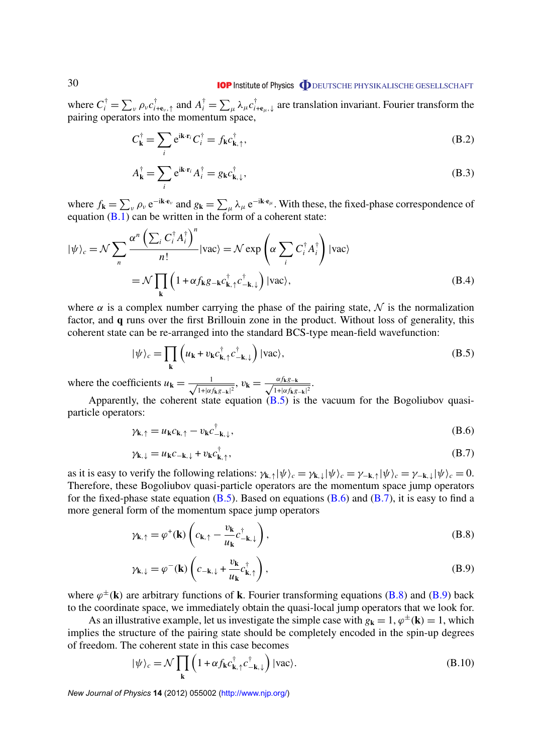<span id="page-30-0"></span>where  $C_i^{\dagger} = \sum_{\nu} \rho_{\nu} c_{i+\mathbf{e}_{\nu},\uparrow}^{\dagger}$  and  $A_i^{\dagger} = \sum_{\mu} \lambda_{\mu} c_{i+\mathbf{e}_{\mu},\downarrow}^{\dagger}$  are translation invariant. Fourier transform the pairing operators into the momentum space,

$$
C_{\mathbf{k}}^{\dagger} = \sum_{i} e^{i\mathbf{k}\cdot\mathbf{r}_{i}} C_{i}^{\dagger} = f_{\mathbf{k}} c_{\mathbf{k},\uparrow}^{\dagger}, \qquad (B.2)
$$

$$
A_{\mathbf{k}}^{\dagger} = \sum_{i} e^{i\mathbf{k}\cdot\mathbf{r}_{i}} A_{i}^{\dagger} = g_{\mathbf{k}} c_{\mathbf{k},\downarrow}^{\dagger}, \qquad (B.3)
$$

where  $f_{\bf k} = \sum_{\nu} \rho_{\nu} e^{-i{\bf k}\cdot{\bf e}_{\nu}}$  and  $g_{\bf k} = \sum_{\mu} \lambda_{\mu} e^{-i{\bf k}\cdot{\bf e}_{\mu}}$ . With these, the fixed-phase correspondence of equation  $(B.1)$  can be written in the form of a coherent state:

$$
|\psi\rangle_c = \mathcal{N} \sum_{n} \frac{\alpha^n \left(\sum_{i} C_{i}^{\dagger} A_{i}^{\dagger}\right)^n}{n!} |\text{vac}\rangle = \mathcal{N} \exp\left(\alpha \sum_{i} C_{i}^{\dagger} A_{i}^{\dagger}\right) |\text{vac}\rangle
$$
  
=  $\mathcal{N} \prod_{\mathbf{k}} \left(1 + \alpha f_{\mathbf{k}} g_{-\mathbf{k}} C_{\mathbf{k},\uparrow}^{\dagger} C_{-\mathbf{k},\downarrow}^{\dagger}\right) |\text{vac}\rangle,$  (B.4)

where  $\alpha$  is a complex number carrying the phase of the pairing state,  $\mathcal N$  is the normalization factor, and **q** runs over the first Brillouin zone in the product. Without loss of generality, this coherent state can be re-arranged into the standard BCS-type mean-field wavefunction:

$$
|\psi\rangle_c = \prod_{\mathbf{k}} \left( u_{\mathbf{k}} + v_{\mathbf{k}} c_{\mathbf{k},\uparrow}^{\dagger} c_{-\mathbf{k},\downarrow}^{\dagger} \right) |\text{vac}\rangle, \tag{B.5}
$$

where the coefficients  $u_{\mathbf{k}} = \frac{1}{\sqrt{1 + \mathbf{k}}}\$  $\frac{1}{1+|\alpha f_{\mathbf{k}}g_{-\mathbf{k}}|^2}$ ,  $v_{\mathbf{k}} = \frac{\alpha f_{\mathbf{k}}g_{-\mathbf{k}}}{\sqrt{1+|\alpha f_{\mathbf{k}}g_{-\mathbf{k}}|^2}}$ .

Apparently, the coherent state equation  $(B.5)$  is the vacuum for the Bogoliubov quasiparticle operators:

$$
\gamma_{\mathbf{k},\uparrow} = u_{\mathbf{k}} c_{\mathbf{k},\uparrow} - v_{\mathbf{k}} c_{-\mathbf{k},\downarrow}^{\dagger}, \tag{B.6}
$$

$$
\gamma_{\mathbf{k},\downarrow} = u_{\mathbf{k}} c_{-\mathbf{k},\downarrow} + v_{\mathbf{k}} c_{\mathbf{k},\uparrow}^{\dagger},\tag{B.7}
$$

as it is easy to verify the following relations:  $\gamma_{k,\uparrow}|\psi\rangle_c = \gamma_{k,\downarrow}|\psi\rangle_c = \gamma_{-k,\uparrow}|\psi\rangle_c = \gamma_{-k,\downarrow}|\psi\rangle_c = 0.$ Therefore, these Bogoliubov quasi-particle operators are the momentum space jump operators for the fixed-phase state equation  $(B.5)$ . Based on equations  $(B.6)$  and  $(B.7)$ , it is easy to find a more general form of the momentum space jump operators

$$
\gamma_{\mathbf{k},\uparrow} = \varphi^+(\mathbf{k}) \left( c_{\mathbf{k},\uparrow} - \frac{v_{\mathbf{k}}}{u_{\mathbf{k}}} c_{-\mathbf{k},\downarrow}^{\dagger} \right),\tag{B.8}
$$

$$
\gamma_{\mathbf{k},\downarrow} = \varphi^-(\mathbf{k}) \left( c_{-\mathbf{k},\downarrow} + \frac{v_{\mathbf{k}}}{u_{\mathbf{k}}} c_{\mathbf{k},\uparrow}^\dagger \right),\tag{B.9}
$$

where  $\varphi^{\pm}(\mathbf{k})$  are arbitrary functions of **k**. Fourier transforming equations (B.8) and (B.9) back to the coordinate space, we immediately obtain the quasi-local jump operators that we look for.

As an illustrative example, let us investigate the simple case with  $g_k = 1$ ,  $\varphi^{\pm}(\mathbf{k}) = 1$ , which implies the structure of the pairing state should be completely encoded in the spin-up degrees of freedom. The coherent state in this case becomes

$$
|\psi\rangle_c = \mathcal{N} \prod_{\mathbf{k}} \left( 1 + \alpha f_{\mathbf{k}} c_{\mathbf{k},\uparrow}^{\dagger} c_{-\mathbf{k},\downarrow}^{\dagger} \right) |\text{vac}\rangle. \tag{B.10}
$$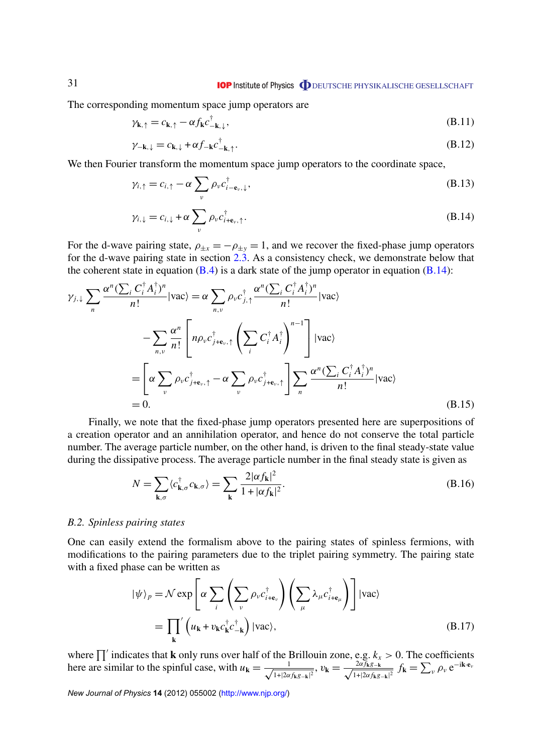The corresponding momentum space jump operators are

$$
\gamma_{\mathbf{k},\uparrow} = c_{\mathbf{k},\uparrow} - \alpha f_{\mathbf{k}} c_{-\mathbf{k},\downarrow}^{\dagger},\tag{B.11}
$$

$$
\gamma_{-\mathbf{k},\downarrow} = c_{\mathbf{k},\downarrow} + \alpha f_{-\mathbf{k}} c_{-\mathbf{k},\uparrow}^{\dagger}.
$$
\n(B.12)

We then Fourier transform the momentum space jump operators to the coordinate space,

$$
\gamma_{i,\uparrow} = c_{i,\uparrow} - \alpha \sum_{\nu} \rho_{\nu} c_{i-e_{\nu},\downarrow}^{\dagger}, \qquad (B.13)
$$

$$
\gamma_{i,\downarrow} = c_{i,\downarrow} + \alpha \sum_{\nu} \rho_{\nu} c_{i+\mathbf{e}_{\nu},\uparrow}^{\dagger}.
$$
 (B.14)

For the d-wave pairing state,  $\rho_{\pm x} = -\rho_{\pm y} = 1$ , and we recover the fixed-phase jump operators for the d-wave pairing state in section [2.3.](#page-10-0) As a consistency check, we demonstrate below that the coherent state in equation  $(B.4)$  is a dark state of the jump operator in equation  $(B.14)$ :

$$
\gamma_{j,\downarrow} \sum_{n} \frac{\alpha^{n} (\sum_{i} C_{i}^{\dagger} A_{i}^{\dagger})^{n}}{n!} |\text{vac}\rangle = \alpha \sum_{n,v} \rho_{v} c_{j,\uparrow}^{\dagger} \frac{\alpha^{n} (\sum_{i} C_{i}^{\dagger} A_{i}^{\dagger})^{n}}{n!} |\text{vac}\rangle
$$

$$
- \sum_{n,v} \frac{\alpha^{n}}{n!} \left[ n \rho_{v} c_{j+\mathbf{e}_{v},\uparrow}^{\dagger} \left( \sum_{i} C_{i}^{\dagger} A_{i}^{\dagger} \right)^{n-1} \right] |\text{vac}\rangle
$$

$$
= \left[ \alpha \sum_{v} \rho_{v} c_{j+\mathbf{e}_{v},\uparrow}^{\dagger} - \alpha \sum_{v} \rho_{v} c_{j+\mathbf{e}_{v},\uparrow}^{\dagger} \right] \sum_{n} \frac{\alpha^{n} (\sum_{i} C_{i}^{\dagger} A_{i}^{\dagger})^{n}}{n!} |\text{vac}\rangle
$$

$$
= 0.
$$
(B.15)

Finally, we note that the fixed-phase jump operators presented here are superpositions of a creation operator and an annihilation operator, and hence do not conserve the total particle number. The average particle number, on the other hand, is driven to the final steady-state value during the dissipative process. The average particle number in the final steady state is given as

$$
N = \sum_{\mathbf{k},\sigma} \langle c_{\mathbf{k},\sigma}^{\dagger} c_{\mathbf{k},\sigma} \rangle = \sum_{\mathbf{k}} \frac{2|\alpha f_{\mathbf{k}}|^2}{1 + |\alpha f_{\mathbf{k}}|^2}.
$$
 (B.16)

#### *B.2. Spinless pairing states*

One can easily extend the formalism above to the pairing states of spinless fermions, with modifications to the pairing parameters due to the triplet pairing symmetry. The pairing state with a fixed phase can be written as

$$
|\psi\rangle_{p} = \mathcal{N} \exp\left[\alpha \sum_{i} \left(\sum_{\nu} \rho_{\nu} c_{i+\mathbf{e}_{\nu}}^{\dagger}\right) \left(\sum_{\mu} \lambda_{\mu} c_{i+\mathbf{e}_{\mu}}^{\dagger}\right)\right] | \text{vac} \rangle
$$
  
= 
$$
\prod_{\mathbf{k}}' \left(u_{\mathbf{k}} + v_{\mathbf{k}} c_{\mathbf{k}}^{\dagger} c_{-\mathbf{k}}^{\dagger}\right) | \text{vac} \rangle,
$$
 (B.17)

where  $\prod'$  indicates that **k** only runs over half of the Brillouin zone, e.g.  $k_x > 0$ . The coefficients here are similar to the spinful case, with  $u_k = \frac{1}{\sqrt{100}}$  $\frac{1}{(1+|2\alpha f_{\mathbf{k}}g_{-\mathbf{k}}|^2}, v_{\mathbf{k}} = \frac{2\alpha \bar{f}_{\mathbf{k}}g_{-\mathbf{k}}}{\sqrt{1+|2\alpha f_{\mathbf{k}}g_{-\mathbf{k}}^2}}$  $\frac{2\alpha f_{\mathbf{k}}g_{-\mathbf{k}}}{1+|2\alpha f_{\mathbf{k}}g_{-\mathbf{k}}|^2} f_{\mathbf{k}} = \sum_{\nu} \rho_{\nu} e^{-i\mathbf{k}\cdot\mathbf{e}_{\nu}}$ 

*New Journal of Physics* **14** (2012) 055002 [\(http://www.njp.org/\)](http://www.njp.org/)

<span id="page-31-0"></span>31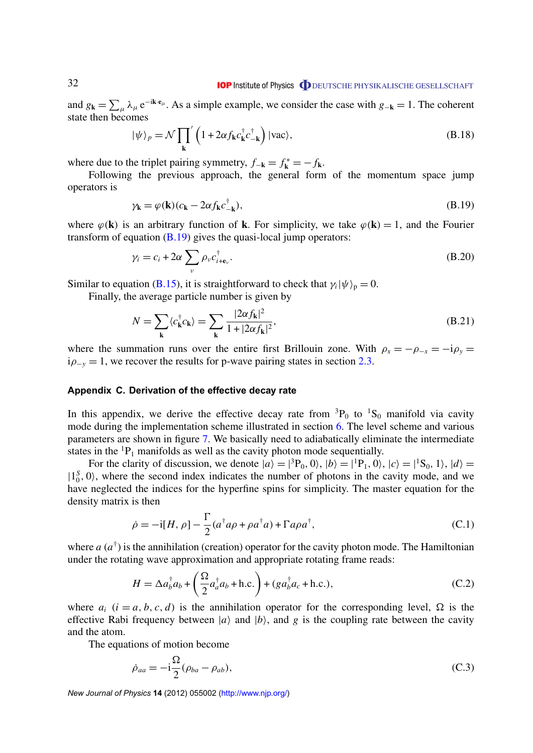<span id="page-32-0"></span>and  $g_k = \sum_{\mu} \lambda_{\mu} e^{-ik \cdot \theta_{\mu}}$ . As a simple example, we consider the case with  $g_{-k} = 1$ . The coherent state then becomes

$$
|\psi\rangle_p = \mathcal{N} \prod_{\mathbf{k}} \left( 1 + 2\alpha f_{\mathbf{k}} c_{\mathbf{k}}^\dagger c_{-\mathbf{k}}^\dagger \right) |\text{vac}\rangle, \tag{B.18}
$$

where due to the triplet pairing symmetry,  $f_{-\mathbf{k}} = f_{\mathbf{k}}^* = -f_{\mathbf{k}}$ .

Following the previous approach, the general form of the momentum space jump operators is

$$
\gamma_{\mathbf{k}} = \varphi(\mathbf{k})(c_{\mathbf{k}} - 2\alpha f_{\mathbf{k}} c_{-\mathbf{k}}^{\dagger}),
$$
\n(B.19)

where  $\varphi(\mathbf{k})$  is an arbitrary function of **k**. For simplicity, we take  $\varphi(\mathbf{k}) = 1$ , and the Fourier transform of equation  $(B.19)$  gives the quasi-local jump operators:

$$
\gamma_i = c_i + 2\alpha \sum_{\nu} \rho_{\nu} c_{i + \mathbf{e}_{\nu}}^{\dagger}.
$$
\n(B.20)

Similar to equation [\(B.15\)](#page-31-0), it is straightforward to check that  $\gamma_i |\psi\rangle_p = 0$ .

Finally, the average particle number is given by

$$
N = \sum_{\mathbf{k}} \langle c_{\mathbf{k}}^{\dagger} c_{\mathbf{k}} \rangle = \sum_{\mathbf{k}} \frac{|2\alpha f_{\mathbf{k}}|^2}{1 + |2\alpha f_{\mathbf{k}}|^2},
$$
(B.21)

where the summation runs over the entire first Brillouin zone. With  $\rho_x = -\rho_{-x} = -i\rho_y =$  $i\rho_{-\nu} = 1$ , we recover the results for p-wave pairing states in section [2.3.](#page-10-0)

#### **Appendix C. Derivation of the effective decay rate**

In this appendix, we derive the effective decay rate from  ${}^{3}P_{0}$  to  ${}^{1}S_{0}$  manifold via cavity mode during the implementation scheme illustrated in section [6.](#page-21-0) The level scheme and various parameters are shown in figure [7.](#page-22-0) We basically need to adiabatically eliminate the intermediate states in the  ${}^{1}P_1$  manifolds as well as the cavity photon mode sequentially.

For the clarity of discussion, we denote  $|a\rangle = |{}^3P_0, 0\rangle$ ,  $|b\rangle = |{}^1P_1, 0\rangle$ ,  $|c\rangle = |{}^1S_0, 1\rangle$ ,  $|d\rangle =$  $|1_0^S, 0\rangle$ , where the second index indicates the number of photons in the cavity mode, and we have neglected the indices for the hyperfine spins for simplicity. The master equation for the density matrix is then

$$
\dot{\rho} = -i[H, \rho] - \frac{\Gamma}{2} (a^{\dagger} a \rho + \rho a^{\dagger} a) + \Gamma a \rho a^{\dagger}, \tag{C.1}
$$

where  $a(a^{\dagger})$  is the annihilation (creation) operator for the cavity photon mode. The Hamiltonian under the rotating wave approximation and appropriate rotating frame reads:

$$
H = \Delta a_b^{\dagger} a_b + \left(\frac{\Omega}{2} a_a^{\dagger} a_b + \text{h.c.}\right) + (g a_b^{\dagger} a_c + \text{h.c.}),\tag{C.2}
$$

where  $a_i$   $(i = a, b, c, d)$  is the annihilation operator for the corresponding level,  $\Omega$  is the effective Rabi frequency between  $|a\rangle$  and  $|b\rangle$ , and g is the coupling rate between the cavity and the atom.

The equations of motion become

$$
\dot{\rho}_{aa} = -\mathrm{i}\frac{\Omega}{2}(\rho_{ba} - \rho_{ab}),\tag{C.3}
$$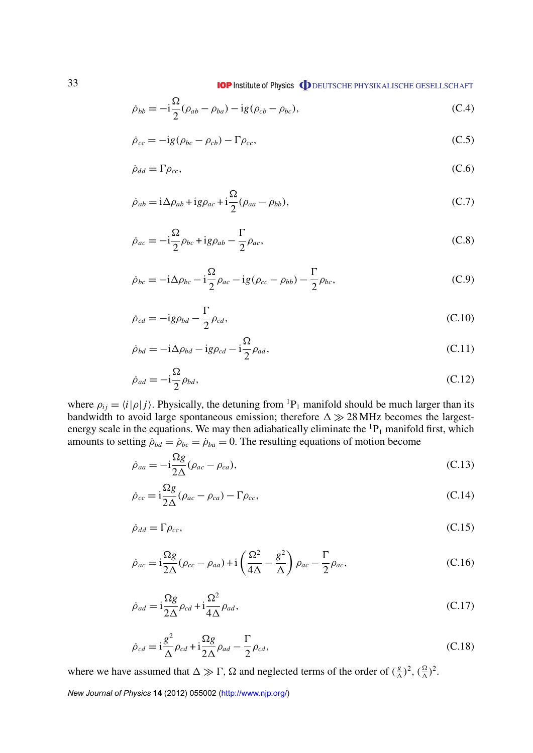$$
\dot{\rho}_{bb} = -i\frac{\Omega}{2}(\rho_{ab} - \rho_{ba}) - ig(\rho_{cb} - \rho_{bc}),
$$
\n(C.4)

$$
\dot{\rho}_{cc} = -ig(\rho_{bc} - \rho_{cb}) - \Gamma \rho_{cc},\tag{C.5}
$$

$$
\dot{\rho}_{dd} = \Gamma \rho_{cc},\tag{C.6}
$$

$$
\dot{\rho}_{ab} = \mathrm{i}\Delta\rho_{ab} + \mathrm{i}g\rho_{ac} + \mathrm{i}\frac{\Omega}{2}(\rho_{aa} - \rho_{bb}),\tag{C.7}
$$

$$
\dot{\rho}_{ac} = -\mathrm{i}\frac{\Omega}{2}\rho_{bc} + \mathrm{i}g\rho_{ab} - \frac{\Gamma}{2}\rho_{ac},\tag{C.8}
$$

$$
\dot{\rho}_{bc} = -\mathrm{i}\Delta\rho_{bc} - \mathrm{i}\frac{\Omega}{2}\rho_{ac} - \mathrm{i}g(\rho_{cc} - \rho_{bb}) - \frac{\Gamma}{2}\rho_{bc},\tag{C.9}
$$

$$
\dot{\rho}_{cd} = -ig\rho_{bd} - \frac{\Gamma}{2}\rho_{cd},\tag{C.10}
$$

$$
\dot{\rho}_{bd} = -\mathrm{i}\Delta\rho_{bd} - \mathrm{i}g\rho_{cd} - \mathrm{i}\frac{\Omega}{2}\rho_{ad},\tag{C.11}
$$

$$
\dot{\rho}_{ad} = -i\frac{\Omega}{2}\rho_{bd},\tag{C.12}
$$

where  $\rho_{ij} = \langle i|\rho|j\rangle$ . Physically, the detuning from <sup>1</sup>P<sub>1</sub> manifold should be much larger than its bandwidth to avoid large spontaneous emission; therefore  $\Delta \gg 28$  MHz becomes the largestenergy scale in the equations. We may then adiabatically eliminate the  ${}^{1}P_{1}$  manifold first, which amounts to setting  $\dot{\rho}_{bd} = \dot{\rho}_{bc} = \dot{\rho}_{ba} = 0$ . The resulting equations of motion become

$$
\dot{\rho}_{aa} = -i\frac{\Omega g}{2\Delta}(\rho_{ac} - \rho_{ca}),\tag{C.13}
$$

$$
\dot{\rho}_{cc} = \mathbf{i}\frac{\Omega g}{2\Delta}(\rho_{ac} - \rho_{ca}) - \Gamma \rho_{cc},\tag{C.14}
$$

$$
\dot{\rho}_{dd} = \Gamma \rho_{cc},\tag{C.15}
$$

$$
\dot{\rho}_{ac} = \mathbf{i}\frac{\Omega g}{2\Delta}(\rho_{cc} - \rho_{aa}) + \mathbf{i}\left(\frac{\Omega^2}{4\Delta} - \frac{g^2}{\Delta}\right)\rho_{ac} - \frac{\Gamma}{2}\rho_{ac},\tag{C.16}
$$

$$
\dot{\rho}_{ad} = i \frac{\Omega g}{2\Delta} \rho_{cd} + i \frac{\Omega^2}{4\Delta} \rho_{ad},\tag{C.17}
$$

$$
\dot{\rho}_{cd} = i \frac{g^2}{\Delta} \rho_{cd} + i \frac{\Omega g}{2\Delta} \rho_{ad} - \frac{\Gamma}{2} \rho_{cd},
$$
\n(C.18)

where we have assumed that  $\Delta \gg \Gamma$ ,  $\Omega$  and neglected terms of the order of  $(\frac{g}{\Delta})$  $\frac{g}{\Delta}$ )<sup>2</sup>,  $(\frac{\Omega}{\Delta})^2$ .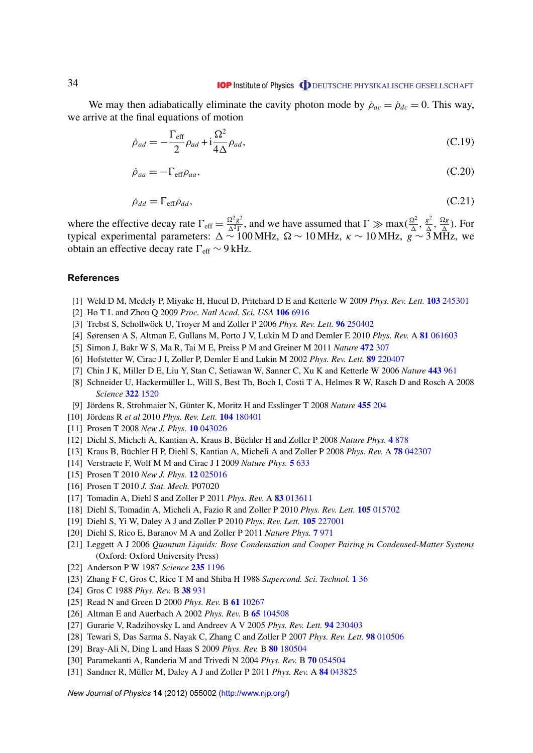We may then adiabatically eliminate the cavity photon mode by  $\rho_{ac} = \rho_{dc} = 0$ . This way, we arrive at the final equations of motion

$$
\dot{\rho}_{ad} = -\frac{\Gamma_{\rm eff}}{2} \rho_{ad} + i \frac{\Omega^2}{4\Delta} \rho_{ad},\tag{C.19}
$$

$$
\dot{\rho}_{aa} = -\Gamma_{\text{eff}}\rho_{aa},\tag{C.20}
$$

$$
\dot{\rho}_{dd} = \Gamma_{\text{eff}} \rho_{dd},\tag{C.21}
$$

where the effective decay rate  $\Gamma_{\text{eff}} = \frac{\Omega^2 g^2}{\Delta^2 \Gamma}$  $\frac{\Omega^2 g^2}{\Delta^2 \Gamma}$ , and we have assumed that  $\Gamma \gg \max(\frac{\Omega^2 g^2}{\Delta})$  $\frac{\Omega^2}{\Delta}$ ,  $\frac{g^2}{\Delta}$  $\frac{g^2}{\Delta}$ ,  $\frac{\Omega g}{\Delta}$  $\frac{\Delta 2g}{\Delta}$ ). For typical experimental parameters:  $\Delta \sim 100$  MHz,  $\Omega \sim 10$  MHz,  $\kappa \sim 10$  MHz,  $g \sim 3$  MHz, we obtain an effective decay rate  $\Gamma_{\text{eff}} \sim 9 \text{ kHz}$ .

#### **References**

- [1] Weld D M, Medely P, Miyake H, Hucul D, Pritchard D E and Ketterle W 2009 *Phys. Rev. Lett.* **103** [245301](http://dx.doi.org/10.1103/PhysRevLett.103.245301)
- [2] Ho T L and Zhou Q 2009 *Proc. Natl Acad. Sci. USA* **106** [6916](http://dx.doi.org/10.1073/pnas.0809862105)
- [3] Trebst S, Schollwöck U, Troyer M and Zoller P 2006 Phys. Rev. Lett. **96** [250402](http://dx.doi.org/10.1103/PhysRevLett.96.250402)
- [4] Sørensen A S, Altman E, Gullans M, Porto J V, Lukin M D and Demler E 2010 *Phys. Rev.* A **81** [061603](http://dx.doi.org/10.1103/PhysRevA.81.061603)
- [5] Simon J, Bakr W S, Ma R, Tai M E, Preiss P M and Greiner M 2011 *Nature* **472** [307](http://dx.doi.org/10.1038/nature09994)
- [6] Hofstetter W, Cirac J I, Zoller P, Demler E and Lukin M 2002 *Phys. Rev. Lett.* **89** [220407](http://dx.doi.org/10.1103/PhysRevLett.89.220407)
- [7] Chin J K, Miller D E, Liu Y, Stan C, Setiawan W, Sanner C, Xu K and Ketterle W 2006 *Nature* **[443](http://dx.doi.org/10.1038/nature05224)** 961
- [8] Schneider U, Hackermüller L, Will S, Best Th, Boch I, Costi T A, Helmes R W, Rasch D and Rosch A 2008 *Science* **322** [1520](http://dx.doi.org/10.1126/science.1165449)
- [9] Jördens R, Strohmaier N, Günter K, Moritz H and Esslinger T 2008 Nature 455 [204](http://dx.doi.org/10.1038/nature07244)
- [10] Jördens R et al 2010 Phys. Rev. Lett. **104** [180401](http://dx.doi.org/10.1103/PhysRevLett.104.180401)
- [11] Prosen T 2008 *New J. Phys.* **10** [043026](http://dx.doi.org/10.1088/1367-2630/10/4/043026)
- [12] Diehl S, Micheli A, Kantian A, Kraus B, Büchler H and Zoller P 2008 Nature Phys. 4 [878](http://dx.doi.org/10.1038/nphys1073)
- [13] Kraus B, Büchler H P, Diehl S, Kantian A, Micheli A and Zoller P 2008 Phys. Rev. A 78 [042307](http://dx.doi.org/10.1103/PhysRevA.78.042307)
- [14] Verstraete F, Wolf M M and Cirac J I 2009 *Nature Phys.* **5** [633](http://dx.doi.org/10.1038/nphys1342)
- [15] Prosen T 2010 *New J. Phys.* **12** [025016](http://dx.doi.org/10.1088/1367-2630/12/2/025016)
- [16] Prosen T 2010 *J. Stat. Mech.* P07020
- [17] Tomadin A, Diehl S and Zoller P 2011 *Phys. Rev.* A **83** [013611](http://dx.doi.org/10.1103/PhysRevA.83.013611)
- [18] Diehl S, Tomadin A, Micheli A, Fazio R and Zoller P 2010 *Phys. Rev. Lett.* **105** [015702](http://dx.doi.org/10.1103/PhysRevLett.105.015702)
- [19] Diehl S, Yi W, Daley A J and Zoller P 2010 *Phys. Rev. Lett.* **105** [227001](http://dx.doi.org/10.1103/PhysRevLett.105.227001)
- [20] Diehl S, Rico E, Baranov M A and Zoller P 2011 *Nature Phys.* **7** [971](http://dx.doi.org/10.1038/nphys2106)
- [21] Leggett A J 2006 *Quantum Liquids: Bose Condensation and Cooper Pairing in Condensed-Matter Systems* (Oxford: Oxford University Press)
- [22] Anderson P W 1987 *Science* **235** [1196](http://dx.doi.org/10.1126/science.235.4793.1196)
- [23] Zhang F C, Gros C, Rice T M and Shiba H 1988 *Supercond. Sci. Technol.* **1** [36](http://dx.doi.org/10.1088/0953-2048/1/1/009)
- [24] Gros C 1988 *Phys. Rev.* B **38** [931](http://dx.doi.org/10.1103/PhysRevB.38.931)
- [25] Read N and Green D 2000 *Phys. Rev.* B **61** [10267](http://dx.doi.org/10.1103/PhysRevB.61.10267)
- [26] Altman E and Auerbach A 2002 *Phys. Rev.* B **65** [104508](http://dx.doi.org/10.1103/PhysRevB.65.104508)
- [27] Gurarie V, Radzihovsky L and Andreev A V 2005 *Phys. Rev. Lett.* **94** [230403](http://dx.doi.org/10.1103/PhysRevLett.94.230403)
- [28] Tewari S, Das Sarma S, Nayak C, Zhang C and Zoller P 2007 *Phys. Rev. Lett.* **98** [010506](http://dx.doi.org/10.1103/PhysRevLett.98.010506)
- [29] Bray-Ali N, Ding L and Haas S 2009 *Phys. Rev.* B **80** [180504](http://dx.doi.org/10.1103/PhysRevB.80.180504)
- [30] Paramekanti A, Randeria M and Trivedi N 2004 *Phys. Rev.* B **70** [054504](http://dx.doi.org/10.1103/PhysRevB.70.054504)
- [31] Sandner R, Müller M, Daley A J and Zoller P 2011 Phys. Rev. A 84 [043825](http://dx.doi.org/10.1103/PhysRevA.84.043825)

*New Journal of Physics* **14** (2012) 055002 [\(http://www.njp.org/\)](http://www.njp.org/)

<span id="page-34-0"></span>34